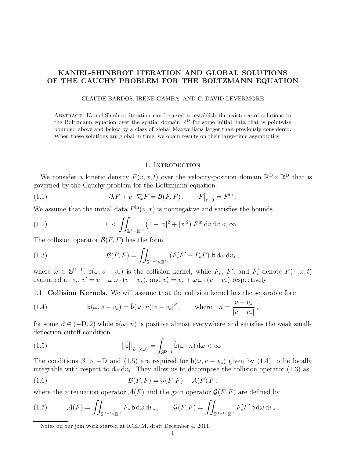# KANIEL-SHINBROT ITERATION AND GLOBAL SOLUTIONS OF THE CAUCHY PROBLEM FOR THE BOLTZMANN EQUATION

### CLAUDE BARDOS, IRENE GAMBA, AND C. DAVID LEVERMORE

Abstract. Kaniel-Shinbrot iteration can be used to establish the existence of solutions to the Boltzmann equation over the spatial domain  $\mathbb{R}^D$  for some initial data that is pointwise bounded above and below by a class of global Maxwellians larger than previously considered. When these solutions are global in time, we obain results on their large-time asymptotics.

### 1. INTRODUCTION

We consider a kinetic density  $F(v, x, t)$  over the velocity-position domain  $\mathbb{R}^D \times \mathbb{R}^D$  that is governed by the Cauchy problem for the Boltzmann equation:

(1.1) 
$$
\partial_t F + v \cdot \nabla_x F = \mathcal{B}(F, F), \qquad F|_{t=0} = F^{\text{in}}.
$$

We assume that the initial data  $F^{\text{in}}(v, x)$  is nonnegative and satisfies the bounds

(1.2) 
$$
0 < \iint_{\mathbb{R}^D \times \mathbb{R}^D} (1 + |v|^2 + |x|^2) F^{\text{in}} \, dv \, dx < \infty.
$$

The collision operator  $\mathcal{B}(F, F)$  has the form

(1.3) 
$$
\mathcal{B}(F,F) = \iint_{\mathbb{S}^{D-1}\times\mathbb{R}^D} \left(F'_*F'-F_*F\right)\mathsf{b}\,\mathrm{d}\omega\,\mathrm{d}v_*\,,
$$

where  $\omega \in \mathbb{S}^{D-1}$ ,  $\mathsf{b}(\omega, v - v_*)$  is the collision kernel, while  $F_*$ ,  $F'$ , and  $F'_*$  denote  $F(\cdot, x, t)$ evaluated at  $v_*, v' = v - \omega \omega \cdot (v - v_*)$ , and  $v'_* = v_* + \omega \omega \cdot (v - v_*)$  respectively.

1.1. Collision Kernels. We will assume that the collision kernel has the separable form

(1.4) 
$$
\mathbf{b}(\omega, v - v_*) = \hat{\mathbf{b}}(\omega \cdot n)|v - v_*|^\beta, \quad \text{where} \quad n = \frac{v - v_*}{|v - v_*|},
$$

for some  $\beta \in (-D, 2)$  while  $\hat{b}(\omega \cdot n)$  is positive almost everywhere and satisfies the weak smalldeflection cutoff condition

(1.5) 
$$
\|\hat{\mathbf{b}}\|_{L^1(\mathrm{d}\omega)} = \int_{\mathbb{S}^{D-1}} \hat{\mathbf{b}}(\omega \cdot n) \,\mathrm{d}\omega < \infty.
$$

The conditions  $\beta > -D$  and (1.5) are required for  $b(\omega, v - v_*)$  given by (1.4) to be locally integrable with respect to  $d\omega dv_*$ . They allow us to decompose the collision operator (1.3) as

(1.6) 
$$
\mathcal{B}(F,F) = \mathcal{G}(F,F) - \mathcal{A}(F) F,
$$

where the attenuation operator  $\mathcal{A}(F)$  and the gain operator  $\mathcal{G}(F, F)$  are defined by

(1.7) 
$$
\mathcal{A}(F) = \iint_{\mathbb{S}^{D-1}\times\mathbb{R}^D} F_* \mathsf{b} \, \mathrm{d}\omega \, \mathrm{d}v_*, \qquad \mathcal{G}(F,F) = \iint_{\mathbb{S}^{D-1}\times\mathbb{R}^D} F'_* F' \mathsf{b} \, \mathrm{d}\omega \, \mathrm{d}v_*.
$$

Notes on our join work started at ICERM, draft December 4, 2011.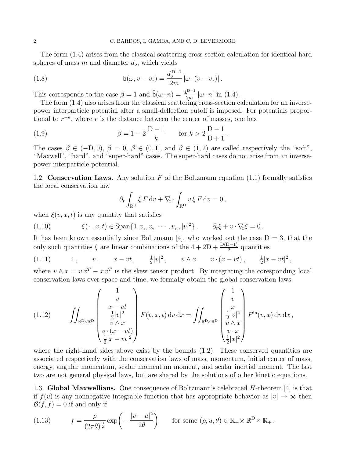The form (1.4) arises from the classical scattering cross section calculation for identical hard spheres of mass  $m$  and diameter  $d_o$ , which yields

(1.8) 
$$
\mathsf{b}(\omega, v - v_*) = \frac{d_o^{D-1}}{2m} |\omega \cdot (v - v_*)|.
$$

This corresponds to the case  $\beta = 1$  and  $\hat{b}(\omega \cdot n) = \frac{d_o^{D-1}}{2m} |\omega \cdot n|$  in (1.4).

The form (1.4) also arises from the classical scattering cross-section calculation for an inversepower interparticle potential after a small-deflection cutoff is imposed. For potentials proportional to  $r^{-k}$ , where r is the distance between the center of masses, one has

(1.9) 
$$
\beta = 1 - 2 \frac{D - 1}{k} \quad \text{for } k > 2 \frac{D - 1}{D + 1}.
$$

The cases  $\beta \in (-D, 0)$ ,  $\beta = 0$ ,  $\beta \in (0, 1]$ , and  $\beta \in (1, 2)$  are called respectively the "soft", "Maxwell", "hard", and "super-hard" cases. The super-hard cases do not arise from an inversepower interparticle potential.

1.2. Conservation Laws. Any solution  $F$  of the Boltzmann equation (1.1) formally satisfies the local conservation law

$$
\partial_t \int_{\mathbb{R}^D} \xi F dv + \nabla_x \cdot \int_{\mathbb{R}^D} v \xi F dv = 0,
$$

when  $\xi(v, x, t)$  is any quantity that satisfies

(1.10) 
$$
\xi(\cdot, x, t) \in \text{Span}\{1, v_1, v_2, \cdots, v_{\text{D}}, |v|^2\}, \qquad \partial_t \xi + v \cdot \nabla_x \xi = 0.
$$

It has been known essentially since Boltzmann [4], who worked out the case  $D = 3$ , that the only such quantities  $\xi$  are linear combinations of the  $4 + 2D + \frac{D(D-1)}{2}$  quantities

(1.11) 
$$
1, \quad v, \quad x - vt, \quad \frac{1}{2}|v|^2, \quad v \wedge x \quad v \cdot (x - vt), \quad \frac{1}{2}|x - vt|^2,
$$

where  $v \wedge x = v x^T - x v^T$  is the skew tensor product. By integrating the coresponding local conservation laws over space and time, we formally obtain the global conservation laws

(1.12) 
$$
\iint_{\mathbb{R}^{\mathcal{D}} \times \mathbb{R}^{\mathcal{D}}} \begin{pmatrix} 1 \\ v \\ \frac{1}{2}|v|^2 \\ v \wedge x \\ v \cdot (x - vt) \\ \frac{1}{2}|x - vt|^2 \end{pmatrix} F(v, x, t) dv dx = \iint_{\mathbb{R}^{\mathcal{D}} \times \mathbb{R}^{\mathcal{D}}} \begin{pmatrix} 1 \\ v \\ \frac{1}{2}|v|^2 \\ v \wedge x \\ v \cdot x \\ \frac{1}{2}|x|^2 \end{pmatrix} F^{\text{in}}(v, x) dv dx,
$$

where the right-hand sides above exist by the bounds  $(1.2)$ . These conserved quantities are associated respectively with the conservation laws of mass, momentum, initial center of mass, energy, angular momentum, scalar momentum moment, and scalar inertial moment. The last two are not general physical laws, but are shared by the solutions of other kinetic equations.

1.3. Global Maxwellians. One consequence of Boltzmann's celebrated H-theorem [4] is that if  $f(v)$  is any nonnegative integrable function that has appropriate behavior as  $|v| \to \infty$  then  $\mathcal{B}(f,f) = 0$  if and only if

(1.13) 
$$
f = \frac{\rho}{(2\pi\theta)^{\frac{D}{2}}} \exp\left(-\frac{|v - u|^2}{2\theta}\right) \quad \text{for some } (\rho, u, \theta) \in \mathbb{R}_+ \times \mathbb{R}^D \times \mathbb{R}_+.
$$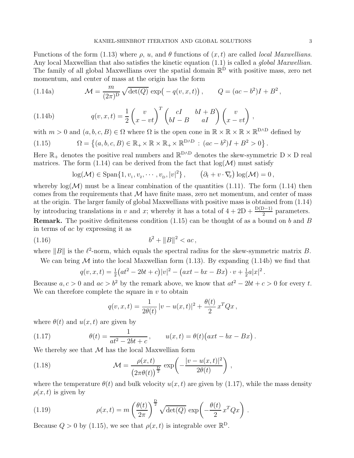Functions of the form (1.13) where  $\rho$ , u, and  $\theta$  functions of  $(x, t)$  are called *local Maxwellians*. Any local Maxwellian that also satisfies the kinetic equation  $(1.1)$  is called a *global Maxwellian*. The family of all global Maxwellians over the spatial domain  $\mathbb{R}^{\mathbb{D}}$  with positive mass, zero net momentum, and center of mass at the origin has the form

(1.14a) 
$$
\mathcal{M} = \frac{m}{(2\pi)^D} \sqrt{\det(Q)} \exp(-q(v, x, t)), \qquad Q = (ac - b^2)I + B^2,
$$

(1.14b) 
$$
q(v, x, t) = \frac{1}{2} \begin{pmatrix} v \\ x - vt \end{pmatrix}^T \begin{pmatrix} cI & bI + B \\ bI - B & aI \end{pmatrix} \begin{pmatrix} v \\ x - vt \end{pmatrix},
$$

with  $m > 0$  and  $(a, b, c, B) \in \Omega$  where  $\Omega$  is the open cone in  $\mathbb{R} \times \mathbb{R} \times \mathbb{R} \times \mathbb{R}^{D \wedge D}$  defined by

(1.15) 
$$
\Omega = \left\{ (a, b, c, B) \in \mathbb{R}_+ \times \mathbb{R} \times \mathbb{R}_+ \times \mathbb{R}^{D \wedge D} : (ac - b^2)I + B^2 > 0 \right\}.
$$

Here  $\mathbb{R}_+$  denotes the positive real numbers and  $\mathbb{R}^{D\wedge D}$  denotes the skew-symmetric  $D \times D$  real matrices. The form (1.14) can be derived from the fact that  $log(\mathcal{M})$  must satisfy

$$
\log(\mathcal{M}) \in \text{Span}\{1, v_1, v_2, \cdots, v_{\text{D}}, |v|^2\}, \qquad (\partial_t + v \cdot \nabla_x) \log(\mathcal{M}) = 0,
$$

whereby  $log(\mathcal{M})$  must be a linear combination of the quantities (1.11). The form (1.14) then comes from the requirements that  $\mathcal M$  have finite mass, zero net momentum, and center of mass at the origin. The larger family of global Maxwellians with positive mass is obtained from (1.14) by introducing translations in v and x; whereby it has a total of  $4 + 2D + \frac{D(D-1)}{2}$  parameters. **Remark.** The positive definiteness condition  $(1.15)$  can be thought of as a bound on b and B in terms of ac by expressing it as

(1.16) 
$$
b^2 + ||B||^2 < ac
$$

where  $||B||$  is the  $\ell^2$ -norm, which equals the spectral radius for the skew-symmetric matrix B.

We can bring  $M$  into the local Maxwellian form (1.13). By expanding (1.14b) we find that

$$
q(v, x, t) = \frac{1}{2} (at^2 - 2bt + c)|v|^2 - (axt - bx - Bx) \cdot v + \frac{1}{2}a|x|^2.
$$

Because  $a, c > 0$  and  $ac > b^2$  by the remark above, we know that  $at^2 - 2bt + c > 0$  for every t. We can therefore complete the square in  $v$  to obtain

$$
q(v, x, t) = \frac{1}{2\theta(t)} |v - u(x, t)|^2 + \frac{\theta(t)}{2} x^T Q x,
$$

where  $\theta(t)$  and  $u(x, t)$  are given by

(1.17) 
$$
\theta(t) = \frac{1}{at^2 - 2bt + c}, \qquad u(x, t) = \theta(t) (axt - bx - Bx).
$$

We thereby see that  $M$  has the local Maxwellian form

(1.18) 
$$
\mathcal{M} = \frac{\rho(x,t)}{\left(2\pi\theta(t)\right)^{\frac{D}{2}}}\exp\left(-\frac{|v-u(x,t)|^2}{2\theta(t)}\right),
$$

where the temperature  $\theta(t)$  and bulk velocity  $u(x, t)$  are given by (1.17), while the mass density  $\rho(x, t)$  is given by

(1.19) 
$$
\rho(x,t) = m \left(\frac{\theta(t)}{2\pi}\right)^{\frac{D}{2}} \sqrt{\det(Q)} \exp\left(-\frac{\theta(t)}{2} x^T Q x\right).
$$

Because  $Q > 0$  by (1.15), we see that  $\rho(x, t)$  is integrable over  $\mathbb{R}^D$ .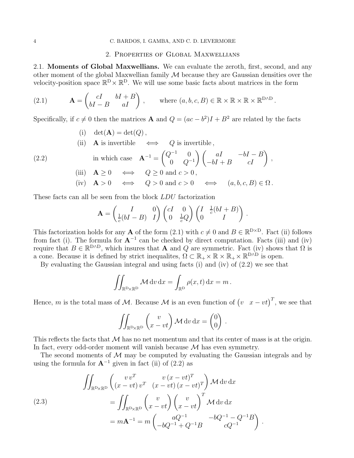### 2. Properties of Global Maxwellians

2.1. Moments of Global Maxwellians. We can evaluate the zeroth, first, second, and any other moment of the global Maxwellian family  $\mathcal M$  because they are Gaussian densities over the velocity-position space  $\mathbb{R}^D \times \mathbb{R}^D$ . We will use some basic facts about matrices in the form

(2.1) 
$$
\mathbf{A} = \begin{pmatrix} cI & bI + B \\ bI - B & aI \end{pmatrix}, \text{ where } (a, b, c, B) \in \mathbb{R} \times \mathbb{R} \times \mathbb{R} \times \mathbb{R}^{D \wedge D}.
$$

Specifically, if  $c \neq 0$  then the matrices **A** and  $Q = (ac - b^2)I + B^2$  are related by the facts

- (i)  $\det(\mathbf{A}) = \det(Q)$ ,
- (ii) **A** is invertible  $\iff$  *Q* is invertible,

(2.2) in which case 
$$
\mathbf{A}^{-1} = \begin{pmatrix} Q^{-1} & 0 \\ 0 & Q^{-1} \end{pmatrix} \begin{pmatrix} aI & -bI - B \\ -bI + B & cI \end{pmatrix}
$$
,  
(iii)  $\mathbf{A} \ge 0 \iff Q \ge 0$  and  $c > 0$ ,

(iv) 
$$
\mathbf{A} > 0 \iff Q > 0 \text{ and } c > 0 \iff (a, b, c, B) \in \Omega
$$
.

These facts can all be seen from the block LDU factorization

$$
\mathbf{A} = \begin{pmatrix} I & 0 \\ \frac{1}{c}(bI - B) & I \end{pmatrix} \begin{pmatrix} cI & 0 \\ 0 & \frac{1}{c}Q \end{pmatrix} \begin{pmatrix} I & \frac{1}{c}(bI + B) \\ 0 & I \end{pmatrix}.
$$

This factorization holds for any **A** of the form (2.1) with  $c \neq 0$  and  $B \in \mathbb{R}^{D \times D}$ . Fact (ii) follows from fact (i). The formula for  $A^{-1}$  can be checked by direct computation. Facts (iii) and (iv) require that  $B \in \mathbb{R}^{D \wedge D}$ , which insures that **A** and Q are symmetric. Fact (iv) shows that  $\Omega$  is a cone. Because it is defined by strict inequalites,  $\Omega \subset \mathbb{R}_+ \times \mathbb{R} \times \mathbb{R}_+ \times \mathbb{R}^{D \wedge D}$  is open.

By evaluating the Gaussian integral and using facts (i) and (iv) of (2.2) we see that

$$
\iint_{\mathbb{R}^{\mathcal{D}} \times \mathbb{R}^{\mathcal{D}}} \mathcal{M} \, dv \, dx = \int_{\mathbb{R}^{\mathcal{D}}} \rho(x, t) \, dx = m \, .
$$

Hence, m is the total mass of M. Because M is an even function of  $(v \ x - vt)^T$ , we see that

$$
\iint_{\mathbb{R}^{\mathbb{D}} \times \mathbb{R}^{\mathbb{D}}} \left( \begin{array}{c} v \\ x - vt \end{array} \right) \mathcal{M} dv dx = \begin{pmatrix} 0 \\ 0 \end{pmatrix}.
$$

This reflects the facts that  $\mathcal M$  has no net momentum and that its center of mass is at the origin. In fact, every odd-order moment will vanish because  $M$  has even symmetry.

The second moments of  $M$  may be computed by evaluating the Gaussian integrals and by using the formula for  $A^{-1}$  given in fact (ii) of (2.2) as

(2.3)  
\n
$$
\iint_{\mathbb{R}^{\mathcal{D}} \times \mathbb{R}^{\mathcal{D}}} \left( \begin{array}{cc} v v^T & v (x - vt)^T \\ (x - vt) v^T & (x - vt) (x - vt)^T \end{array} \right) \mathcal{M} dv dx
$$
\n
$$
= \iint_{\mathbb{R}^{\mathcal{D}} \times \mathbb{R}^{\mathcal{D}}} \left( \begin{array}{cc} v \\ x - vt \end{array} \right) \left( \begin{array}{cc} v \\ x - vt \end{array} \right)^T \mathcal{M} dv dx
$$
\n
$$
= m \mathbf{A}^{-1} = m \left( \begin{array}{cc} aQ^{-1} & -bQ^{-1} - Q^{-1}B \\ -bQ^{-1} + Q^{-1}B & cQ^{-1} \end{array} \right).
$$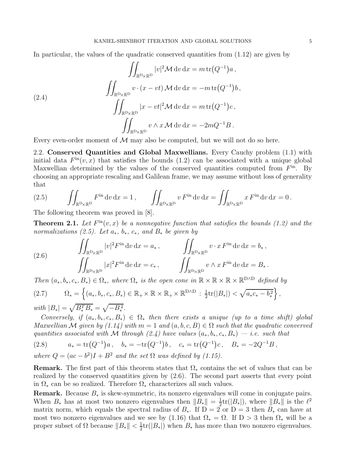In particular, the values of the quadratic conserved quantities from  $(1.12)$  are given by

(2.4)  

$$
\iint_{\mathbb{R}^{\mathcal{D}} \times \mathbb{R}^{\mathcal{D}}} |v|^2 \mathcal{M} dv dx = m \operatorname{tr}(Q^{-1}) a,
$$

$$
\iint_{\mathbb{R}^{\mathcal{D}} \times \mathbb{R}^{\mathcal{D}}} v \cdot (x - vt) \mathcal{M} dv dx = -m \operatorname{tr}(Q^{-1}) b,
$$

$$
\iint_{\mathbb{R}^{\mathcal{D}} \times \mathbb{R}^{\mathcal{D}}} |x - vt|^2 \mathcal{M} dv dx = m \operatorname{tr}(Q^{-1}) c,
$$

$$
\iint_{\mathbb{R}^{\mathcal{D}} \times \mathbb{R}^{\mathcal{D}}} v \wedge x \mathcal{M} dv dx = -2mQ^{-1} B.
$$

Every even-order moment of  $\mathcal M$  may also be computed, but we will not do so here.

2.2. Conserved Quantities and Global Maxwellians. Every Cauchy problem (1.1) with initial data  $F^{\text{in}}(v, x)$  that satisfies the bounds (1.2) can be associated with a unique global Maxwellian determined by the values of the conserved quantities computed from  $F<sup>in</sup>$ . By choosing an appropriate rescaling and Galilean frame, we may assume without loss of generality that

(2.5) 
$$
\iint_{\mathbb{R}^D \times \mathbb{R}^D} F^{\text{in}} \, dv \, dx = 1, \qquad \iint_{\mathbb{R}^D \times \mathbb{R}^D} v F^{\text{in}} \, dv \, dx = \iint_{\mathbb{R}^D \times \mathbb{R}^D} x F^{\text{in}} \, dv \, dx = 0.
$$

The following theorem was proved in [8].

**Theorem 2.1.** Let  $F^{\text{in}}(v, x)$  be a nonnegative function that satisfies the bounds (1.2) and the normalizations (2.5). Let  $a_*, b_*, c_*,$  and  $B_*$  be given by

(2.6) 
$$
\iint_{\mathbb{R}^{\mathcal{D}} \times \mathbb{R}^{\mathcal{D}}} |v|^2 F^{\text{in}} \, dv \, dx = a_*, \qquad \iint_{\mathbb{R}^{\mathcal{D}} \times \mathbb{R}^{\mathcal{D}}} v \cdot x F^{\text{in}} \, dv \, dx = b_*,
$$

$$
\iint_{\mathbb{R}^{\mathcal{D}} \times \mathbb{R}^{\mathcal{D}}} |x|^2 F^{\text{in}} \, dv \, dx = c_*, \qquad \iint_{\mathbb{R}^{\mathcal{D}} \times \mathbb{R}^{\mathcal{D}}} v \wedge x F^{\text{in}} \, dv \, dx = B_*.
$$

Then  $(a_*, b_*, c_*, B_*) \in \Omega_*$ , where  $\Omega_*$  is the open cone in  $\mathbb{R} \times \mathbb{R} \times \mathbb{R} \times \mathbb{R}^{D \wedge D}$  defined by

$$
(2.7) \qquad \Omega_* = \left\{ (a_*, b_*, c_*, B_*) \in \mathbb{R}_+ \times \mathbb{R} \times \mathbb{R}_+ \times \mathbb{R}^{D \wedge D} : \frac{1}{2} \text{tr}(|B_*|) < \sqrt{a_* c_* - b_*^2} \right\},
$$

with  $|B_*| = \sqrt{B_*^T B_*} = \sqrt{-B_*^2}$ .

Conversely, if  $(a_*, b_*, c_*, B_*) \in \Omega_*$  then there exists a unique (up to a time shift) global Maxwellian M given by  $(1.14)$  with  $m = 1$  and  $(a, b, c, B) \in \Omega$  such that the quadratic converved quantities associated with M through (2.4) have values  $(a_*,b_*,c_*,B_*)-i.e.$  such that

(2.8) 
$$
a_* = \text{tr}(Q^{-1})a, \quad b_* = -\text{tr}(Q^{-1})b, \quad c_* = \text{tr}(Q^{-1})c, \quad B_* = -2Q^{-1}B,
$$

where 
$$
Q = (ac - b^2)I + B^2
$$
 and the set  $\Omega$  was defined by (1.15).

**Remark.** The first part of this theorem states that  $\Omega_*$  contains the set of values that can be realized by the conserved quantities given by (2.6). The second part asserts that every point in  $\Omega_*$  can be so realized. Therefore  $\Omega_*$  characterizes all such values.

**Remark.** Because  $B_*$  is skew-symmetric, its nonzero eigenvalues will come in conjugate pairs. When  $B_*$  has at most two nonzero eigenvalues then  $||B_*|| = \frac{1}{2} \text{tr}(|B_*|)$ , where  $||B_*||$  is the  $\ell^2$ matrix norm, which equals the spectral radius of  $B_*$ . If D = 2 or D = 3 then  $B_*$  can have at most two nonzero eigenvalues and we see by (1.16) that  $\Omega_* = \Omega$ . If D > 3 then  $\Omega_*$  will be a proper subset of  $\Omega$  because  $||B_*|| < \frac{1}{2}\text{tr}(|B_*|)$  when  $B_*$  has more than two nonzero eigenvalues.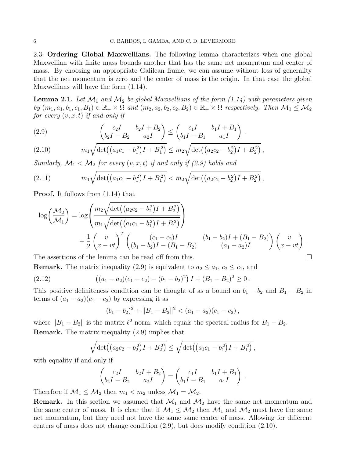2.3. Ordering Global Maxwellians. The following lemma characterizes when one global Maxwellian with finite mass bounds another that has the same net momentum and center of mass. By choosing an appropriate Galilean frame, we can assume without loss of generality that the net momentum is zero and the center of mass is the origin. In that case the global Maxwellians will have the form (1.14).

**Lemma 2.1.** Let  $\mathcal{M}_1$  and  $\mathcal{M}_2$  be global Maxwellians of the form (1.14) with parameters given by  $(m_1, a_1, b_1, c_1, B_1) \in \mathbb{R}_+ \times \Omega$  and  $(m_2, a_2, b_2, c_2, B_2) \in \mathbb{R}_+ \times \Omega$  respectively. Then  $\mathcal{M}_1 \leq \mathcal{M}_2$ for every  $(v, x, t)$  if and only if

(2.9) 
$$
\left(\begin{matrix}c_2I & b_2I + B_2 \ b_2I - B_2 & a_2I\end{matrix}\right) \le \left(\begin{matrix}c_1I & b_1I + B_1 \ b_1I - B_1 & a_1I\end{matrix}\right).
$$

(2.10) 
$$
m_1 \sqrt{\det((a_1c_1-b_1^2)I+B_1^2)} \leq m_2 \sqrt{\det((a_2c_2-b_2^2)I+B_2^2)},
$$

Similarly,  $\mathcal{M}_1 < \mathcal{M}_2$  for every  $(v, x, t)$  if and only if (2.9) holds and

(2.11) 
$$
m_1 \sqrt{\det((a_1c_1-b_1^2)I+B_1^2)} < m_2 \sqrt{\det((a_2c_2-b_2^2)I+B_2^2)},
$$

Proof. It follows from (1.14) that

$$
\log\left(\frac{\mathcal{M}_2}{\mathcal{M}_1}\right) = \log\left(\frac{m_2\sqrt{\det((a_2c_2 - b_2^2)I + B_2^2)}}{m_1\sqrt{\det((a_1c_1 - b_1^2)I + B_1^2)}}\right) + \frac{1}{2}\left(\frac{v}{x - vt}\right)^T \left(\frac{(c_1 - c_2)I}{(b_1 - b_2)I - (B_1 - B_2)}\frac{(b_1 - b_2)I + (B_1 - B_2)}{(a_1 - a_2)I}\right)\left(\frac{v}{x - vt}\right).
$$

The assertions of the lemma can be read off from this.  $\Box$ 

**Remark.** The matrix inequality (2.9) is equivalent to  $a_2 \le a_1, c_2 \le c_1$ , and

(2.12) 
$$
((a_1 - a_2)(c_1 - c_2) - (b_1 - b_2)^2) I + (B_1 - B_2)^2 \ge 0.
$$

This positive definiteness condition can be thought of as a bound on  $b_1 - b_2$  and  $B_1 - B_2$  in terms of  $(a_1 - a_2)(c_1 - c_2)$  by expressing it as

$$
(b_1-b_2)^2 + ||B_1-B_2||^2 < (a_1-a_2)(c_1-c_2),
$$

where  $||B_1 - B_2||$  is the matrix  $\ell^2$ -norm, which equals the spectral radius for  $B_1 - B_2$ . Remark. The matrix inequality (2.9) implies that

$$
\sqrt{\det((a_2c_2-b_2^2)I+B_2^2)} \leq \sqrt{\det((a_1c_1-b_1^2)I+B_1^2)},
$$

with equality if and only if

$$
\begin{pmatrix} c_2I & b_2I + B_2 \ b_2I - B_2 & a_2I \end{pmatrix} = \begin{pmatrix} c_1I & b_1I + B_1 \ b_1I - B_1 & a_1I \end{pmatrix}.
$$

Therefore if  $\mathcal{M}_1 \leq \mathcal{M}_2$  then  $m_1 < m_2$  unless  $\mathcal{M}_1 = \mathcal{M}_2$ .

**Remark.** In this section we assumed that  $\mathcal{M}_1$  and  $\mathcal{M}_2$  have the same net momentum and the same center of mass. It is clear that if  $\mathcal{M}_1 \leq \mathcal{M}_2$  then  $\mathcal{M}_1$  and  $\mathcal{M}_2$  must have the same net momentum, but they need not have the same same center of mass. Allowing for different centers of mass does not change condition (2.9), but does modify condition (2.10).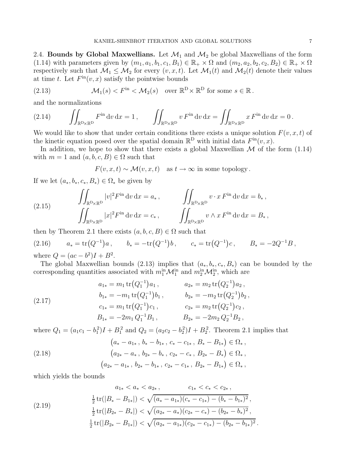2.4. Bounds by Global Maxwellians. Let  $\mathcal{M}_1$  and  $\mathcal{M}_2$  be global Maxwellians of the form (1.14) with parameters given by  $(m_1, a_1, b_1, c_1, B_1) \in \mathbb{R}_+ \times \Omega$  and  $(m_2, a_2, b_2, c_2, B_2) \in \mathbb{R}_+ \times \Omega$ respectively such that  $\mathcal{M}_1 \leq \mathcal{M}_2$  for every  $(v, x, t)$ . Let  $\mathcal{M}_1(t)$  and  $\mathcal{M}_2(t)$  denote their values at time t. Let  $F^{\text{in}}(v, x)$  satisfy the pointwise bounds

(2.13) 
$$
\mathcal{M}_1(s) < F^{\text{in}} < \mathcal{M}_2(s) \quad \text{over } \mathbb{R}^{\mathcal{D}} \times \mathbb{R}^{\mathcal{D}} \text{ for some } s \in \mathbb{R}.
$$

and the normalizations

(2.14) 
$$
\iint_{\mathbb{R}^D \times \mathbb{R}^D} F^{\text{in}} \, dv \, dx = 1, \qquad \iint_{\mathbb{R}^D \times \mathbb{R}^D} v F^{\text{in}} \, dv \, dx = \iint_{\mathbb{R}^D \times \mathbb{R}^D} x F^{\text{in}} \, dv \, dx = 0.
$$

We would like to show that under certain conditions there exists a unique solution  $F(v, x, t)$  of the kinetic equation posed over the spatial domain  $\mathbb{R}^D$  with initial data  $F^{\text{in}}(v, x)$ .

In addition, we hope to show that there exists a global Maxwellian  $\mathcal M$  of the form (1.14) with  $m = 1$  and  $(a, b, c, B) \in \Omega$  such that

$$
F(v, x, t) \sim \mathcal{M}(v, x, t)
$$
 as  $t \to \infty$  in some topology.

If we let  $(a_*, b_*, c_*, B_*) \in \Omega_*$  be given by

(2.15) 
$$
\iint_{\mathbb{R}^{\mathcal{D}} \times \mathbb{R}^{\mathcal{D}}} |v|^2 F^{\text{in}} \, dv \, dx = a_*, \qquad \iint_{\mathbb{R}^{\mathcal{D}} \times \mathbb{R}^{\mathcal{D}}} v \cdot x F^{\text{in}} \, dv \, dx = b_*,
$$

$$
\iint_{\mathbb{R}^{\mathcal{D}} \times \mathbb{R}^{\mathcal{D}}} |x|^2 F^{\text{in}} \, dv \, dx = c_*, \qquad \iint_{\mathbb{R}^{\mathcal{D}} \times \mathbb{R}^{\mathcal{D}}} v \wedge x F^{\text{in}} \, dv \, dx = B_*,
$$

then by Theorem 2.1 there exists  $(a, b, c, B) \in \Omega$  such that

(2.16) 
$$
a_* = \text{tr}(Q^{-1})a
$$
,  $b_* = -\text{tr}(Q^{-1})b$ ,  $c_* = \text{tr}(Q^{-1})c$ ,  $B_* = -2Q^{-1}B$ ,  
where  $Q = (ac - b^2)I + B^2$ 

where  $Q = (ac - b^2)I + B^2$ .

The global Maxwellian bounds (2.13) implies that  $(a_*, b_*, c_*, B_*)$  can be bounded by the corresponding quantities associated with  $m_1^{\text{in}}\mathcal{M}_1^{\text{in}}$  and  $m_2^{\text{in}}\mathcal{M}_2^{\text{in}}$ , which are

(2.17)  
\n
$$
a_{1*} = m_1 \operatorname{tr}(Q_1^{-1}) a_1, \qquad a_{2*} = m_2 \operatorname{tr}(Q_2^{-1}) a_2,
$$
\n
$$
b_{1*} = -m_1 \operatorname{tr}(Q_1^{-1}) b_1, \qquad b_{2*} = -m_2 \operatorname{tr}(Q_2^{-1}) b_2,
$$
\n
$$
c_{1*} = m_1 \operatorname{tr}(Q_1^{-1}) c_1, \qquad c_{2*} = m_2 \operatorname{tr}(Q_2^{-1}) c_2,
$$
\n
$$
B_{1*} = -2m_1 Q_1^{-1} B_1, \qquad B_{2*} = -2m_2 Q_2^{-1} B_2,
$$

where  $Q_1 = (a_1c_1 - b_1^2)I + B_1^2$  and  $Q_2 = (a_2c_2 - b_2^2)I + B_2^2$ . Theorem 2.1 implies that

$$
(a_{*} - a_{1*}, b_{*} - b_{1*}, c_{*} - c_{1*}, B_{*} - B_{1*}) \in \Omega_{*},
$$
  
\n
$$
(a_{2*} - a_{*}, b_{2*} - b_{*}, c_{2*} - c_{*}, B_{2*} - B_{*}) \in \Omega_{*},
$$
  
\n
$$
(a_{2*} - a_{1*}, b_{2*} - b_{1*}, c_{2*} - c_{1*}, B_{2*} - B_{1*}) \in \Omega_{*},
$$

which yields the bounds

$$
a_{1*} < a_{*} < a_{2*}, \qquad c_{1*} < c_{*} < c_{2*},
$$
\n
$$
\frac{1}{2} \operatorname{tr}(|B_{*} - B_{1*}|) < \sqrt{(a_{*} - a_{1*})(c_{*} - c_{1*}) - (b_{*} - b_{1*})^{2}},
$$
\n
$$
\frac{1}{2} \operatorname{tr}(|B_{2*} - B_{*}|) < \sqrt{(a_{2*} - a_{*})(c_{2*} - c_{*}) - (b_{2*} - b_{*})^{2}},
$$
\n
$$
\frac{1}{2} \operatorname{tr}(|B_{2*} - B_{1*}|) < \sqrt{(a_{2*} - a_{1*})(c_{2*} - c_{1*}) - (b_{2*} - b_{1*})^{2}}.
$$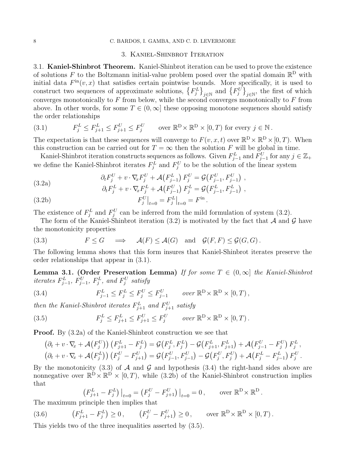#### 8 C. BARDOS, I. GAMBA, AND C. D. LEVERMORE

## 3. Kaniel-Shinbrot Iteration

3.1. Kaniel-Shinbrot Theorem. Kaniel-Shinbrot iteration can be used to prove the existence of solutions F to the Boltzmann initial-value problem posed over the spatial domain  $\mathbb{R}^D$  with initial data  $F^{\text{in}}(v, x)$  that satisfies certain pointwise bounds. More specifically, it is used to construct two sequences of approximate solutions,  $\{F_j^L\}_{j\in\mathbb{N}}$  and  $\{F_j^U\}_{j\in\mathbb{N}}$ , the first of which converges monotonically to  $F$  from below, while the second converges monotonically to  $F$  from above. In other words, for some  $T \in (0,\infty]$  these opposing monotone sequences should satisfy the order relationships

(3.1) 
$$
F_j^L \le F_{j+1}^L \le F_{j+1}^U \le F_j^U \quad \text{over } \mathbb{R}^D \times \mathbb{R}^D \times [0, T) \text{ for every } j \in \mathbb{N}.
$$

The expectation is that these sequences will converge to  $F(v, x, t)$  over  $\mathbb{R}^D \times \mathbb{R}^D \times [0, T)$ . When this construction can be carried out for  $T = \infty$  then the solution F will be global in time.

Kaniel-Shinbrot iteration constructs sequences as follows. Given  $F_{j-1}^L$  and  $F_{j-1}^U$  for any  $j \in \mathbb{Z}_+$ we define the Kaniel-Shinbrot iterates  $F_j^L$  and  $F_j^U$  to be the solution of the linear system

(3.2a) 
$$
\partial_t F_j^U + v \cdot \nabla_x F_j^U + \mathcal{A}(F_{j-1}^L) F_j^U = \mathcal{G}(F_{j-1}^U, F_{j-1}^U) , \n\partial_t F_j^L + v \cdot \nabla_x F_j^L + \mathcal{A}(F_{j-1}^U) F_j^L = \mathcal{G}(F_{j-1}^L, F_{j-1}^L) ,
$$

(3.2b) 
$$
F_j^U|_{t=0} = F_j^L|_{t=0} = F^{\text{in}}.
$$

The existence of  $F_j^L$  and  $F_j^U$  can be inferred from the mild formulation of system (3.2).

The form of the Kaniel-Shinbrot iteration (3.2) is motivated by the fact that A and G have the monotonicity properties

(3.3) 
$$
F \leq G \implies \mathcal{A}(F) \leq \mathcal{A}(G) \text{ and } \mathcal{G}(F, F) \leq \mathcal{G}(G, G).
$$

The following lemma shows that this form insures that Kaniel-Shinbrot iterates preserve the order relationships that appear in (3.1).

**Lemma 3.1. (Order Preservation Lemma)** If for some  $T \in (0,\infty]$  the Kaniel-Shinbrot  $iterates$   $F_{j-1}^L$ ,  $F_{j-1}^U$ ,  $F_j^L$ , and  $F_j^U$  satisfy

(3.4) 
$$
F_{j-1}^L \leq F_j^L \leq F_j^U \leq F_{j-1}^U \quad \text{over } \mathbb{R}^D \times \mathbb{R}^D \times [0, T),
$$

then the Kaniel-Shinbrot iterates  $F_{j+1}^L$  and  $F_{j+1}^U$  satisfy

(3.5) 
$$
F_j^L \leq F_{j+1}^L \leq F_{j+1}^U \leq F_j^U \quad \text{over } \mathbb{R}^D \times \mathbb{R}^D \times [0, T).
$$

Proof. By (3.2a) of the Kaniel-Shinbrot construction we see that

$$
(\partial_t + v \cdot \nabla_x + \mathcal{A}(F_j^U)) (F_{j+1}^L - F_j^L) = \mathcal{G}(F_j^L, F_j^L) - \mathcal{G}(F_{j+1}^L, F_{j+1}^L) + \mathcal{A}(F_{j-1}^U - F_j^U) F_j^L, (\partial_t + v \cdot \nabla_x + \mathcal{A}(F_j^L)) (F_j^U - F_{j+1}^U) = \mathcal{G}(F_{j-1}^U, F_{j-1}^U) - \mathcal{G}(F_j^U, F_j^U) + \mathcal{A}(F_j^L - F_{j-1}^L) F_j^U.
$$

By the monotonicity (3.3) of  $A$  and  $C$  and hypothesis (3.4) the right-hand sides above are nonnegative over  $\mathbb{R}^{\mathfrak{D}} \times \mathbb{R}^{\mathfrak{D}} \times [0,T)$ , while  $(3.2b)$  of the Kaniel-Shinbrot construction implies that

$$
\left(F_{j+1}^L - F_j^L\right)\big|_{t=0} = \left(F_j^U - F_{j+1}^U\right)\big|_{t=0} = 0\,,\qquad\text{over }\mathbb{R}^D\times\mathbb{R}^D\,.
$$

The maximum principle then implies that

(3.6) 
$$
(F_{j+1}^L - F_j^L) \ge 0
$$
,  $(F_j^U - F_{j+1}^U) \ge 0$ , over  $\mathbb{R}^D \times \mathbb{R}^D \times [0, T)$ .

This yields two of the three inequalities asserted by (3.5).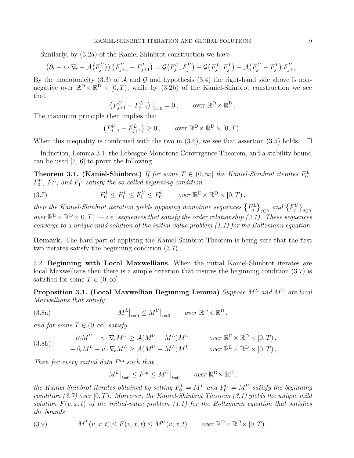Similarly, by (3.2a) of the Kaniel-Shinbrot construction we have

$$
(\partial_t + v \cdot \nabla_x + \mathcal{A}(F_j^U)) (F_{j+1}^U - F_{j+1}^L) = \mathcal{G}(F_j^U, F_j^U) - \mathcal{G}(F_j^L, F_j^L) + \mathcal{A}(F_j^U - F_j^L) F_{j+1}^U.
$$

By the monotonicity (3.3) of  $A$  and  $G$  and hypothesis (3.4) the right-hand side above is nonnegative over  $\mathbb{R}^D \times \mathbb{R}^D \times (0,T)$ , while by (3.2b) of the Kaniel-Shinbrot construction we see that

$$
(F_{j+1}^U - F_{j+1}^L) \big|_{t=0} = 0
$$
, over  $\mathbb{R}^D \times \mathbb{R}^D$ .

The maximum principle then implies that

$$
(F_{j+1}^U - F_{j+1}^L) \ge 0, \quad \text{over } \mathbb{R}^D \times \mathbb{R}^D \times [0, T).
$$

When this inequality is combimed with the two in  $(3.6)$ , we see that assertion  $(3.5)$  holds.  $\Box$ 

Induction, Lemma 3.1, the Lebesgue Monotone Convergence Theorem, and a stability bound can be used [7, 6] to prove the following.

**Theorem 3.1.** (Kaniel-Shinbrot) If for some  $T \in (0, \infty]$  the Kaniel-Shinbrot iterates  $F_0^L$ ,  $F_0^U$ ,  $F_1^L$ , and  $F_1^U$  satisfy the so-called beginning condition

(3.7) 
$$
F_0^L \leq F_1^L \leq F_1^U \leq F_0^U \quad \text{over } \mathbb{R}^D \times \mathbb{R}^D \times [0, T) \,,
$$

then the Kaniel-Shinbrot iteration yields opposing monotone sequences  $\big\{F_j^L\big\}_{j\in\mathbb{N}}$  and  $\big\{F_j^U\big\}_{j\in\mathbb{N}}$ over  $\mathbb{R}^D \times \mathbb{R}^D \times [0, T)$  — i.e. sequences that satisfy the order relationship (3.1). These sequences converge to a unique mild solution of the initial-value problem (1.1) for the Boltzmann equation.

Remark. The hard part of applying the Kaniel-Shinbrot Theorem is being sure that the first two iterates satisfy the beginning condition (3.7).

3.2. Beginning with Local Maxwellians. When the initial Kaniel-Shinbrot iterates are local Maxwellians then there is a simple criterion that insures the beginning condition (3.7) is satisfied for some  $T \in (0, \infty]$ .

Proposition 3.1. (Local Maxwellian Beginning Lemma) Suppose  $M<sup>L</sup>$  and  $M<sup>U</sup>$  are local Maxwellians that satisfy

(3.8a) 
$$
M^{L}|_{t=0} \leq M^{U}|_{t=0} \quad \text{over } \mathbb{R}^{\mathcal{D}} \times \mathbb{R}^{\mathcal{D}},
$$

and for some  $T \in (0, \infty]$  satisfy

$$
(3.8b)
$$

$$
\partial_t M^U + v \cdot \nabla_x M^U \ge \mathcal{A}(M^U - M^L) M^U \qquad \text{over } \mathbb{R}^D \times \mathbb{R}^D \times [0, T),
$$
  

$$
-\partial_t M^L - v \cdot \nabla_x M^L \ge \mathcal{A}(M^U - M^L) M^L \qquad \text{over } \mathbb{R}^D \times \mathbb{R}^D \times [0, T),
$$

Then for every initial data  $F<sup>in</sup>$  such that

$$
M^L|_{t=0} \le F^{\rm in} \le M^U|_{t=0} \qquad \text{over } \mathbb{R}^{\rm D} \times \mathbb{R}^{\rm D} ,
$$

the Kaniel-Shinbrot iterates obtained by setting  $F_0^L = M^L$  and  $F_0^U = M^U$  satisfy the beginning condition  $(3.7)$  over  $[0, T)$ . Moreover, the Kaniel-Shinbrot Theorem  $(3.1)$  yields the unique mild solution  $F(v, x, t)$  of the initial-value problem (1.1) for the Boltzmann equation that satisfies the bounds

(3.9) 
$$
M^{L}(v, x, t) \leq F(v, x, t) \leq M^{U}(v, x, t) \quad \text{over } \mathbb{R}^{\mathcal{D}} \times \mathbb{R}^{\mathcal{D}} \times [0, T).
$$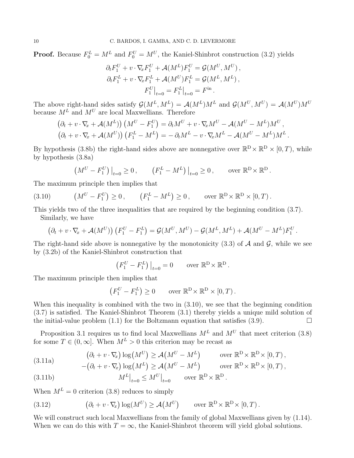**Proof.** Because  $F_0^L = M^L$  and  $F_0^U = M^U$ , the Kaniel-Shinbrot construction (3.2) yields

$$
\partial_t F_1^U + v \cdot \nabla_x F_1^U + \mathcal{A}(M^L) F_1^U = \mathcal{G}(M^U, M^U),
$$
  

$$
\partial_t F_1^L + v \cdot \nabla_x F_1^L + \mathcal{A}(M^U) F_1^L = \mathcal{G}(M^L, M^L),
$$
  

$$
F_1^U \big|_{t=0} = F_1^L \big|_{t=0} = F^{\text{in}}.
$$

The above right-hand sides satisfy  $\mathcal{G}(M^L, M^L) = \mathcal{A}(M^L)M^L$  and  $\mathcal{G}(M^U, M^U) = \mathcal{A}(M^U)M^U$ because  $M^L$  and  $M^U$  are local Maxwellians. Therefore

$$
(\partial_t + v \cdot \nabla_x + \mathcal{A}(M^L)) (M^U - F_1^U) = \partial_t M^U + v \cdot \nabla_x M^U - \mathcal{A}(M^U - M^L) M^U,
$$
  

$$
(\partial_t + v \cdot \nabla_x + \mathcal{A}(M^U)) (F_1^L - M^L) = -\partial_t M^L - v \cdot \nabla_x M^L - \mathcal{A}(M^U - M^L) M^L.
$$

By hypothesis (3.8b) the right-hand sides above are nonnegative over  $\mathbb{R}^D \times \mathbb{R}^D \times [0, T)$ , while by hypothesis (3.8a)

$$
\left(M^U - F_1^U\right)\big|_{t=0} \ge 0\,, \qquad \left(F_1^L - M^L\right)\big|_{t=0} \ge 0\,, \qquad \text{over } \mathbb{R}^D \times \mathbb{R}^D\,.
$$

The maximum principle then implies that

(3.10) 
$$
(M^{U} - F_1^{U}) \ge 0
$$
,  $(F_1^{L} - M^{L}) \ge 0$ , over  $\mathbb{R}^{D} \times \mathbb{R}^{D} \times [0, T)$ .

This yields two of the three inequalities that are required by the beginning condition (3.7). Similarly, we have

$$
(\partial_t + v\cdot\nabla_x + \mathcal{A}(M^U)) (F_1^U - F_1^L) = \mathcal{G}(M^U, M^U) - \mathcal{G}(M^L, M^L) + \mathcal{A}(M^U - M^L)F_1^U.
$$

The right-hand side above is nonnegative by the monotonicity (3.3) of  $A$  and  $G$ , while we see by (3.2b) of the Kaniel-Shinbrot construction that

$$
\left(F_1^U - F_1^L\right)\big|_{t=0} = 0 \quad \text{over } \mathbb{R}^D \times \mathbb{R}^D.
$$

The maximum principle then implies that

$$
(F_1^U - F_1^L) \ge 0 \quad \text{over } \mathbb{R}^D \times \mathbb{R}^D \times [0, T).
$$

When this inequality is combined with the two in (3.10), we see that the beginning condition (3.7) is satisfied. The Kaniel-Shinbrot Theorem (3.1) thereby yields a unique mild solution of the initial-value problem  $(1.1)$  for the Boltzmann equation that satisfies  $(3.9)$ .

Proposition 3.1 requires us to find local Maxwellians  $M<sup>L</sup>$  and  $M<sup>U</sup>$  that meet criterion (3.8) for some  $T \in (0, \infty]$ . When  $M^L > 0$  this criterion may be recast as

(3.11a) 
$$
(\partial_t + v \cdot \nabla_x) \log(M^U) \ge \mathcal{A}(M^U - M^L) \quad \text{over } \mathbb{R}^D \times \mathbb{R}^D \times [0, T),
$$

$$
-(\partial_t + v \cdot \nabla_x) \log(M^L) \ge \mathcal{A}(M^U - M^L) \quad \text{over } \mathbb{R}^D \times \mathbb{R}^D \times [0, T),
$$

(3.11b) 
$$
M^L|_{t=0} \leq M^U|_{t=0} \quad \text{over } \mathbb{R}^D \times \mathbb{R}^D.
$$

When  $M^L = 0$  criterion (3.8) reduces to simply

(3.12) 
$$
(\partial_t + v \cdot \nabla_x) \log(M^U) \geq \mathcal{A}(M^U) \quad \text{over } \mathbb{R}^D \times \mathbb{R}^D \times [0, T).
$$

We will construct such local Maxwellians from the family of global Maxwellians given by  $(1.14)$ . When we can do this with  $T = \infty$ , the Kaniel-Shinbrot theorem will yield global solutions.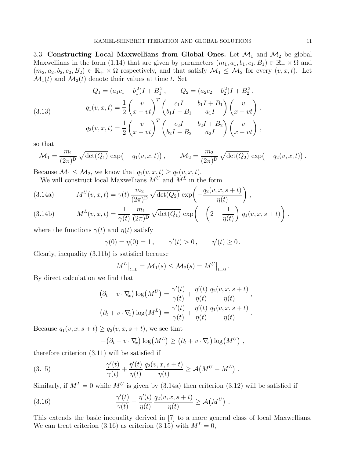3.3. Constructing Local Maxwellians from Global Ones. Let  $\mathcal{M}_1$  and  $\mathcal{M}_2$  be global Maxwellians in the form (1.14) that are given by parameters  $(m_1, a_1, b_1, c_1, B_1) \in \mathbb{R}_+ \times \Omega$  and  $(m_2, a_2, b_2, c_2, B_2) \in \mathbb{R}_+ \times \Omega$  respectively, and that satisfy  $\mathcal{M}_1 \leq \mathcal{M}_2$  for every  $(v, x, t)$ . Let  $\mathcal{M}_1(t)$  and  $\mathcal{M}_2(t)$  denote their values at time t. Set

(3.13) 
$$
Q_1 = (a_1c_1 - b_1^2)I + B_1^2, \qquad Q_2 = (a_2c_2 - b_2^2)I + B_2^2,
$$

$$
q_1(v, x, t) = \frac{1}{2} \begin{pmatrix} v \\ x - vt \end{pmatrix}^T \begin{pmatrix} c_1I & b_1I + B_1 \\ b_1I - B_1 & a_1I \end{pmatrix} \begin{pmatrix} v \\ x - vt \end{pmatrix}.
$$

$$
q_2(v, x, t) = \frac{1}{2} \begin{pmatrix} v \\ x - vt \end{pmatrix}^T \begin{pmatrix} c_2I & b_2I + B_2 \\ b_2I - B_2 & a_2I \end{pmatrix} \begin{pmatrix} v \\ x - vt \end{pmatrix},
$$

so that

$$
\mathcal{M}_1 = \frac{m_1}{(2\pi)^D} \sqrt{\det(Q_1)} \, \exp\left(-q_1(v,x,t)\right), \qquad \mathcal{M}_2 = \frac{m_2}{(2\pi)^D} \sqrt{\det(Q_2)} \, \exp\left(-q_2(v,x,t)\right).
$$

Because  $\mathcal{M}_1 \leq \mathcal{M}_2$ , we know that  $q_1(v, x, t) \geq q_2(v, x, t)$ .

We will construct local Maxwellians  $M^U$  and  $M^L$  in the form

(3.14a) 
$$
M^{U}(v, x, t) = \gamma(t) \frac{m_2}{(2\pi)^D} \sqrt{\det(Q_2)} \exp\left(-\frac{q_2(v, x, s+t)}{\eta(t)}\right),
$$

(3.14b) 
$$
M^{L}(v, x, t) = \frac{1}{\gamma(t)} \frac{m_1}{(2\pi)^D} \sqrt{\det(Q_1)} \exp\left(-\left(2 - \frac{1}{\eta(t)}\right) q_1(v, x, s+t)\right),
$$

where the functions  $\gamma(t)$  and  $\eta(t)$  satisfy

$$
\gamma(0) = \eta(0) = 1, \quad \gamma'(t) > 0, \quad \eta'(t) \ge 0.
$$

Clearly, inequality (3.11b) is satisfied because

$$
M^{L}\big|_{t=0} = \mathcal{M}_1(s) \le \mathcal{M}_2(s) = M^{U}\big|_{t=0}.
$$

By direct calculation we find that

$$
(\partial_t + v \cdot \nabla_x) \log(M^U) = \frac{\gamma'(t)}{\gamma(t)} + \frac{\eta'(t)}{\eta(t)} \frac{q_2(v, x, s+t)}{\eta(t)},
$$

$$
-(\partial_t + v \cdot \nabla_x) \log(M^L) = \frac{\gamma'(t)}{\gamma(t)} + \frac{\eta'(t)}{\eta(t)} \frac{q_1(v, x, s+t)}{\eta(t)}.
$$

Because  $q_1(v, x, s+t) \geq q_2(v, x, s+t)$ , we see that

$$
-(\partial_t + v \cdot \nabla_x) \log(M^L) \ge (\partial_t + v \cdot \nabla_x) \log(M^U) ,
$$

therefore criterion (3.11) will be satisfied if

(3.15) 
$$
\frac{\gamma'(t)}{\gamma(t)} + \frac{\eta'(t)}{\eta(t)} \frac{q_2(v, x, s+t)}{\eta(t)} \ge \mathcal{A}(M^U - M^L) .
$$

Similarly, if  $M^L = 0$  while  $M^U$  is given by (3.14a) then criterion (3.12) will be satisfied if

(3.16) 
$$
\frac{\gamma'(t)}{\gamma(t)} + \frac{\eta'(t)}{\eta(t)} \frac{q_2(v, x, s+t)}{\eta(t)} \ge \mathcal{A}(M^U) .
$$

This extends the basic inequality derived in [7] to a more general class of local Maxwellians. We can treat criterion (3.16) as criterion (3.15) with  $M^L = 0$ ,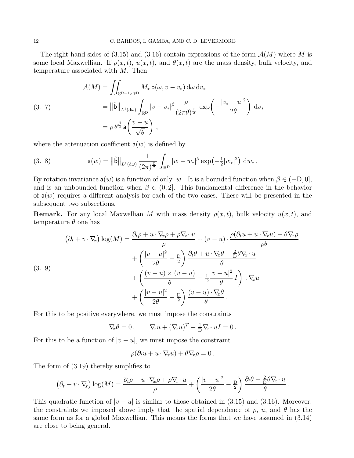The right-hand sides of (3.15) and (3.16) contain expressions of the form  $\mathcal{A}(M)$  where M is some local Maxwellian. If  $\rho(x, t)$ ,  $u(x, t)$ , and  $\theta(x, t)$  are the mass density, bulk velocity, and temperature associated with M. Then

(3.17) 
$$
\mathcal{A}(M) = \iint_{\mathbb{S}^{D-1}\times\mathbb{R}^D} M_* \mathsf{b}(\omega, v - v_*) \, d\omega \, dv_*
$$

$$
= \left\| \hat{\mathsf{b}} \right\|_{L^1(d\omega)} \int_{\mathbb{R}^D} |v - v_*|^\beta \frac{\rho}{(2\pi\theta)^{\frac{D}{2}}} \exp\left(-\frac{|v_* - u|^2}{2\theta}\right) \, dv_*
$$

$$
= \rho \theta^{\frac{\beta}{2}} \mathsf{a}\left(\frac{v - u}{\sqrt{\theta}}\right),
$$

where the attenuation coefficient  $a(w)$  is defined by

(3.18) 
$$
\mathsf{a}(w) = \left\|\hat{\mathsf{b}}\right\|_{L^1(\mathrm{d}\omega)} \frac{1}{(2\pi)^{\frac{D}{2}}} \int_{\mathbb{R}^D} |w - w_*|^\beta \exp\left(-\frac{1}{2}|w_*|^2\right) \, \mathrm{d}w_*.
$$

By rotation invariance  $a(w)$  is a function of only |w|. It is a bounded function when  $\beta \in (-D, 0]$ , and is an unbounded function when  $\beta \in (0, 2]$ . This fundamental difference in the behavior of  $a(w)$  requires a different analysis for each of the two cases. These will be presented in the subsequent two subsections.

**Remark.** For any local Maxwellian M with mass density  $\rho(x, t)$ , bulk velocity  $u(x, t)$ , and temperature  $\theta$  one has

(3.19)  
\n
$$
(\partial_t + v \cdot \nabla_x) \log(M) = \frac{\partial_t \rho + u \cdot \nabla_x \rho + \rho \nabla_x \cdot u}{\rho} + (v - u) \cdot \frac{\rho(\partial_t u + u \cdot \nabla_x u) + \theta \nabla_x \rho}{\rho \theta} + \left(\frac{|v - u|^2}{2\theta} - \frac{D}{2}\right) \frac{\partial_t \theta + u \cdot \nabla_x \theta + \frac{2}{D} \theta \nabla_x \cdot u}{\theta} + \left(\frac{(v - u) \times (v - u)}{\theta} - \frac{1}{D} \frac{|v - u|^2}{\theta} I\right) : \nabla_x u + \left(\frac{|v - u|^2}{2\theta} - \frac{D}{2}\right) \frac{(v - u) \cdot \nabla_x \theta}{\theta}.
$$

For this to be positive everywhere, we must impose the constraints

$$
\nabla_{\!x}\theta = 0, \qquad \nabla_{\!x}u + (\nabla_{\!x}u)^T - \frac{1}{D}\nabla_{\!x}\cdot uI = 0.
$$

For this to be a function of  $|v - u|$ , we must impose the constraint

$$
\rho(\partial_t u + u \cdot \nabla_x u) + \theta \nabla_x \rho = 0.
$$

The form of (3.19) thereby simplifies to

$$
(\partial_t + v \cdot \nabla_x) \log(M) = \frac{\partial_t \rho + u \cdot \nabla_x \rho + \rho \nabla_x \cdot u}{\rho} + \left(\frac{|v - u|^2}{2\theta} - \frac{D}{2}\right) \frac{\partial_t \rho + \frac{2}{D} \rho \nabla_x \cdot u}{\rho}.
$$

This quadratic function of  $|v - u|$  is similar to those obtained in (3.15) and (3.16). Moreover, the constraints we imposed above imply that the spatial dependence of  $\rho$ ,  $u$ , and  $\theta$  has the same form as for a global Maxwellian. This means the forms that we have assumed in (3.14) are close to being general.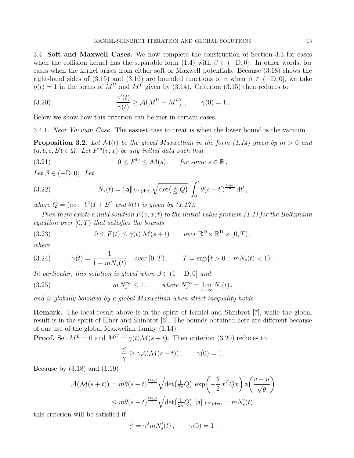3.4. Soft and Maxwell Cases. We now complete the construction of Section 3.3 for cases when the collision kernel has the separable form  $(1.4)$  with  $\beta \in (-D, 0]$ . In other words, for cases when the kernel arises from either soft or Maxwell potentials. Because (3.18) shows the right-hand sides of (3.15) and (3.16) are bounded functions of v when  $\beta \in (-D, 0]$ , we take  $\eta(t) = 1$  in the forms of  $M^U$  and  $M^L$  given by (3.14). Criterion (3.15) then reduces to

(3.20) 
$$
\frac{\gamma'(t)}{\gamma(t)} \ge \mathcal{A}(M^U - M^L) , \qquad \gamma(0) = 1.
$$

Below we show how this criterion can be met in certain cases.

3.4.1. Near Vacuum Case. The easiest case to treat is when the lower bound is the vacuum.

**Proposition 3.2.** Let  $\mathcal{M}(t)$  be the global Maxwellian in the form (1.14) given by  $m > 0$  and  $(a, b, c, B) \in \Omega$ . Let  $F^{\text{in}}(v, x)$  be any initial data such that

(3.21) 
$$
0 \leq F^{\text{in}} \leq \mathcal{M}(s) \quad \text{for some } s \in \mathbb{R}.
$$

Let  $\beta \in (-D, 0]$ . Let

(3.22) 
$$
N_s(t) = \|\mathbf{a}\|_{L^{\infty}(\text{d}w)} \sqrt{\det(\frac{1}{2\pi}Q)} \int_0^t \theta(s+t')^{\frac{D+\beta}{2}} dt',
$$

where  $Q = (ac - b^2)I + B^2$  and  $\theta(t)$  is given by (1.17).

Then there exists a mild solution  $F(v, x, t)$  to the initial-value problem (1.1) for the Boltzmann equation over  $[0, T)$  that satisfies the bounds

(3.23) 
$$
0 \leq F(t) \leq \gamma(t) \mathcal{M}(s+t) \quad \text{over } \mathbb{R}^{\mathcal{D}} \times \mathbb{R}^{\mathcal{D}} \times [0,T),
$$

where

(3.24) 
$$
\gamma(t) = \frac{1}{1 - mN_s(t)} \quad over \ [0, T), \qquad T = \sup\{t > 0 : mN_s(t) < 1\}.
$$

In particular, this solution is global when  $\beta \in (1 - D, 0]$  and

(3.25) 
$$
m N_s^{\infty} \le 1, \qquad \text{where } N_s^{\infty} = \lim_{t \to \infty} N_s(t).
$$

and is globally bounded by a global Maxwellian when strict inequality holds.

Remark. The local result above is in the spirit of Kaniel and Shinbrot [7], while the global result is in the spirit of Illner and Shinbrot [6]. The bounds obtained here are different because of our use of the global Maxwelian family (1.14).

**Proof.** Set  $M^L = 0$  and  $M^U = \gamma(t) \mathcal{M}(s + t)$ . Then criterion (3.20) reduces to

$$
\frac{\gamma'}{\gamma} \ge \gamma \mathcal{A}(\mathcal{M}(s+t)), \qquad \gamma(0) = 1.
$$

Because by  $(3.18)$  and  $(1.19)$ 

$$
\mathcal{A}(\mathcal{M}(s+t)) = m\theta(s+t)^{\frac{D+\beta}{2}}\sqrt{\det\left(\frac{1}{2\pi}Q\right)}\exp\left(-\frac{\theta}{2}x^TQx\right)a\left(\frac{v-u}{\sqrt{\theta}}\right)
$$

$$
\leq m\theta(s+t)^{\frac{D+\beta}{2}}\sqrt{\det\left(\frac{1}{2\pi}Q\right)}\|a\|_{L^{\infty}(\mathrm{d}w)} = mN_s'(t),
$$

this criterion will be satisfied if

$$
\gamma'=\gamma^2 m N_s'(t)\,,\qquad \gamma(0)=1\,.
$$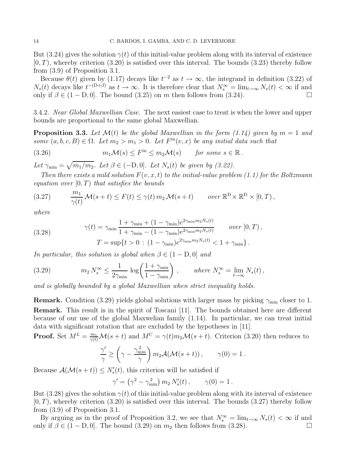But (3.24) gives the solution  $\gamma(t)$  of this initial-value problem along with its interval of existence  $(0, T)$ , whereby criterion (3.20) is satisfied over this interval. The bounds (3.23) thereby follow from (3.9) of Proposition 3.1.

Because  $\theta(t)$  given by (1.17) decays like  $t^{-2}$  as  $t \to \infty$ , the integrand in definition (3.22) of  $N_s(t)$  decays like  $t^{-(D+\beta)}$  as  $t \to \infty$ . It is therefore clear that  $N_s^{\infty} = \lim_{t \to \infty} N_s(t) < \infty$  if and only if  $\beta \in (1 - D, 0]$ . The bound (3.25) on m then follows from (3.24).

3.4.2. Near Global Maxwellian Case. The next easiest case to treat is when the lower and upper bounds are proportional to the same global Maxwellian.

**Proposition 3.3.** Let  $\mathcal{M}(t)$  be the global Maxwellian in the form (1.14) given by  $m = 1$  and some  $(a, b, c, B) \in \Omega$ . Let  $m_2 > m_1 > 0$ . Let  $F<sup>in</sup>(v, x)$  be any initial data such that

(3.26) 
$$
m_1 \mathcal{M}(s) \leq F^{\text{in}} \leq m_2 \mathcal{M}(s) \quad \text{for some } s \in \mathbb{R}.
$$

Let  $\gamma_{\min} = \sqrt{m_1/m_2}$ . Let  $\beta \in (-D, 0]$ . Let  $N_s(t)$  be given by (3.22).

Then there exists a mild solution  $F(v, x, t)$  to the initial-value problem (1.1) for the Boltzmann equation over  $[0, T)$  that satisfies the bounds

(3.27) 
$$
\frac{m_1}{\gamma(t)} \mathcal{M}(s+t) \leq F(t) \leq \gamma(t) m_2 \mathcal{M}(s+t) \quad over \mathbb{R}^D \times \mathbb{R}^D \times [0,T),
$$

where

(3.28) 
$$
\gamma(t) = \gamma_{\min} \frac{1 + \gamma_{\min} + (1 - \gamma_{\min}) e^{2\gamma_{\min} m_2 N_s(t)}}{1 + \gamma_{\min} - (1 - \gamma_{\min}) e^{2\gamma_{\min} m_2 N_s(t)}} \quad \text{over } [0, T) ,
$$

$$
T = \sup \{ t > 0 : (1 - \gamma_{\min}) e^{2\gamma_{\min} m_2 N_s(t)} < 1 + \gamma_{\min} \} .
$$

In particular, this solution is global when  $\beta \in (1 - D, 0]$  and

(3.29) 
$$
m_2 N_s^{\infty} \leq \frac{1}{2\gamma_{\min}} \log \left( \frac{1 + \gamma_{\min}}{1 - \gamma_{\min}} \right) , \qquad \text{where } N_s^{\infty} = \lim_{t \to \infty} N_s(t) ,
$$

and is globally bounded by a global Maxwellian when strict inequality holds.

**Remark.** Condition (3.29) yields global solutions with larger mass by picking  $\gamma_{\text{min}}$  closer to 1. Remark. This result is in the spirit of Toscani [11]. The bounds obtained here are different because of our use of the global Maxwelian family (1.14). In particular, we can treat initial data with significant rotation that are excluded by the hypotheses in [11].

**Proof.** Set  $M^L = \frac{m_1}{\gamma(t)}\mathcal{M}(s+t)$  and  $M^U = \gamma(t)m_2\mathcal{M}(s+t)$ . Criterion (3.20) then reduces to

$$
\frac{\gamma'}{\gamma} \ge \left(\gamma - \frac{\gamma_{\min}^2}{\gamma}\right) m_2 \mathcal{A}(\mathcal{M}(s+t)), \qquad \gamma(0) = 1.
$$

Because  $\mathcal{A}(\mathcal{M}(s+t)) \leq N'_{s}(t)$ , this criterion will be satisfied if

$$
\gamma' = (\gamma^2 - \gamma_{\min}^2) m_2 N_s'(t), \qquad \gamma(0) = 1.
$$

But (3.28) gives the solution  $\gamma(t)$  of this initial-value problem along with its interval of existence  $(0, T)$ , whereby criterion  $(3.20)$  is satisfied over this interval. The bounds  $(3.27)$  thereby follow from (3.9) of Proposition 3.1.

By arguing as in the proof of Proposition 3.2, we see that  $N_s^{\infty} = \lim_{t \to \infty} N_s(t) < \infty$  if and only if  $\beta \in (1 - D, 0]$ . The bound (3.29) on  $m_2$  then follows from (3.28).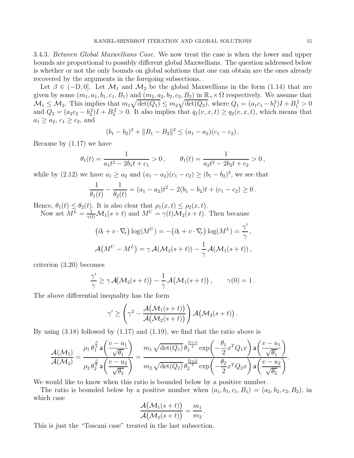3.4.3. Between Global Maxwellians Case. We now treat the case is when the lower and upper bounds are proportional to possibly different global Maxwellians. The question addressed below is whether or not the only bounds on global solutions that one can obtain are the ones already recovered by the arguments in the foregoing subsections.

Let  $\beta \in (-D, 0]$ . Let  $\mathcal{M}_1$  and  $\mathcal{M}_2$  be the global Maxwellians in the form (1.14) that are given by some  $(m_1, a_1, b_1, c_1, B_1)$  and  $(m_2, a_2, b_2, c_2, B_2)$  in  $\mathbb{R}_+ \times \Omega$  respectively. We assume that  $\mathcal{M}_1 \leq \mathcal{M}_2$ . This implies that  $m_1 \sqrt{\det(Q_1)} \leq m_2 \sqrt{\det(Q_2)}$ , where  $Q_1 = (a_1c_1 - b_1^2)I + B_1^2 > 0$ and  $Q_2 = (a_2c_2 - b_2^2)I + B_2^2 > 0$ . It also implies that  $q_1(v, x, t) \ge q_2(v, x, t)$ , which means that  $a_1 \ge a_2, c_1 \ge c_2$ , and

$$
(b_1-b_2)^2+\|B_1-B_2\|^2\leq (a_1-a_2)(c_1-c_2).
$$

Because by (1.17) we have

$$
\theta_1(t) = \frac{1}{a_1 t^2 - 2b_1 t + c_1} > 0, \qquad \theta_1(t) = \frac{1}{a_2 t^2 - 2b_2 t + c_2} > 0,
$$

while by (2.12) we have  $a_1 \ge a_2$  and  $(a_1 - a_2)(c_1 - c_2) \ge (b_1 - b_2)^2$ , we see that

$$
\frac{1}{\theta_1(t)} - \frac{1}{\theta_2(t)} = (a_1 - a_2)t^2 - 2(b_1 - b_2)t + (c_1 - c_2) \ge 0.
$$

Hence,  $\theta_1(t) \leq \theta_2(t)$ . It is also clear that  $\rho_1(x,t) \leq \rho_2(x,t)$ .

Now set  $M^L = \frac{1}{\gamma(t)} \mathcal{M}_1(s+t)$  and  $M^U = \gamma(t) \mathcal{M}_2(s+t)$ . Then because

$$
(\partial_t + v \cdot \nabla_x) \log(M^U) = -(\partial_t + v \cdot \nabla_x) \log(M^L) = \frac{\gamma'}{\gamma},
$$
  

$$
\mathcal{A}(M^U - M^L) = \gamma \mathcal{A}(\mathcal{M}_2(s+t)) - \frac{1}{\gamma} \mathcal{A}(\mathcal{M}_1(s+t)),
$$

criterion (3.20) becomes

$$
\frac{\gamma'}{\gamma} \geq \gamma \mathcal{A}(\mathcal{M}_2(s+t)) - \frac{1}{\gamma} \mathcal{A}(\mathcal{M}_1(s+t)), \qquad \gamma(0) = 1.
$$

The above differential inequality has the form

$$
\gamma' \ge \left(\gamma^2 - \frac{\mathcal{A}(\mathcal{M}_1(s+t))}{\mathcal{A}(\mathcal{M}_2(s+t))}\right) \mathcal{A}(\mathcal{M}_2(s+t))
$$

.

By using  $(3.18)$  followed by  $(1.17)$  and  $(1.19)$ , we find that the ratio above is

$$
\frac{\mathcal{A}(\mathcal{M}_1)}{\mathcal{A}(\mathcal{M}_2)} = \frac{\rho_1 \theta_1^{\frac{\beta}{2}} \mathsf{a} \left( \frac{v - u_1}{\sqrt{\theta_1}} \right)}{\rho_2 \theta_2^{\frac{\beta}{2}} \mathsf{a} \left( \frac{v - u_2}{\sqrt{\theta_2}} \right)} = \frac{m_1 \sqrt{\det(Q_1)} \theta_1^{\frac{D + \beta}{2}} \exp\left( -\frac{\theta_1}{2} x^T Q_1 x \right) \mathsf{a} \left( \frac{v - u_1}{\sqrt{\theta_1}} \right)}{m_2 \sqrt{\det(Q_2)} \theta_2^{\frac{D + \beta}{2}} \exp\left( -\frac{\theta_2}{2} x^T Q_2 x \right) \mathsf{a} \left( \frac{v - u_2}{\sqrt{\theta_2}} \right)}.
$$

We would like to know when this ratio is bounded below by a positive number.

The ratio is bounded below by a positive number when  $(a_1, b_1, c_1, B_1)=(a_2, b_2, c_2, B_2)$ , in which case

$$
\frac{\mathcal{A}(\mathcal{M}_1(s+t))}{\mathcal{A}(\mathcal{M}_2(s+t))}=\frac{m_1}{m_2}.
$$

This is just the "Toscani case" treated in the last subsection.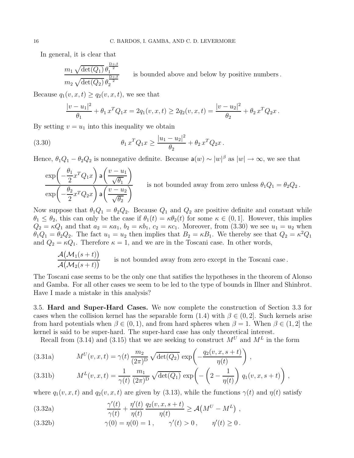In general, it is clear that

$$
\frac{m_1 \sqrt{\det(Q_1)} \theta_1^{\frac{D+\beta}{2}}}{m_2 \sqrt{\det(Q_2)} \theta_2^{\frac{D+\beta}{2}}}
$$
 is bounded above and below by positive numbers.

Because  $q_1(v, x, t) \geq q_2(v, x, t)$ , we see that

$$
\frac{|v - u_1|^2}{\theta_1} + \theta_1 x^T Q_1 x = 2q_1(v, x, t) \ge 2q_2(v, x, t) = \frac{|v - u_2|^2}{\theta_2} + \theta_2 x^T Q_2 x.
$$

By setting  $v = u_1$  into this inequality we obtain

(3.30) 
$$
\theta_1 x^T Q_1 x \ge \frac{|u_1 - u_2|^2}{\theta_2} + \theta_2 x^T Q_2 x.
$$

Hence,  $\theta_1 Q_1 - \theta_2 Q_2$  is nonnegative definite. Because  $a(w) \sim |w|^\beta$  as  $|w| \to \infty$ , we see that

$$
\frac{\exp\left(-\frac{\theta_1}{2}x^TQ_1x\right)\mathsf{a}\left(\frac{v-u_1}{\sqrt{\theta_1}}\right)}{\exp\left(-\frac{\theta_2}{2}x^TQ_2x\right)\mathsf{a}\left(\frac{v-u_2}{\sqrt{\theta_2}}\right)}
$$
 is not bounded away from zero unless  $\theta_1Q_1 = \theta_2Q_2$ .

Now suppose that  $\theta_1 Q_1 = \theta_2 Q_2$ . Because  $Q_1$  and  $Q_2$  are positive definite and constant while  $\theta_1 \leq \theta_2$ , this can only be the case if  $\theta_1(t) = \kappa \theta_2(t)$  for some  $\kappa \in (0, 1]$ . However, this implies  $Q_2 = \kappa Q_1$  and that  $a_2 = \kappa a_1$ ,  $b_2 = \kappa b_1$ ,  $c_2 = \kappa c_1$ . Moreover, from (3.30) we see  $u_1 = u_2$  when  $\theta_1Q_1 = \theta_2Q_2$ . The fact  $u_1 = u_2$  then implies that  $B_2 = \kappa B_1$ . We thereby see that  $Q_2 = \kappa^2 Q_1$ and  $Q_2 = \kappa Q_1$ . Therefore  $\kappa = 1$ , and we are in the Toscani case. In other words,

$$
\frac{\mathcal{A}(\mathcal{M}_1(s+t))}{\mathcal{A}(\mathcal{M}_2(s+t))}
$$
 is not bounded away from zero except in the Toscani case.

The Toscani case seems to be the only one that satifies the hypotheses in the theorem of Alonso and Gamba. For all other cases we seem to be led to the type of bounds in Illner and Shinbrot. Have I made a mistake in this analysis?

3.5. Hard and Super-Hard Cases. We now complete the construction of Section 3.3 for cases when the collision kernel has the separable form  $(1.4)$  with  $\beta \in (0, 2]$ . Such kernels arise from hard potentials when  $\beta \in (0,1)$ , and from hard spheres when  $\beta = 1$ . When  $\beta \in (1,2]$  the kernel is said to be super-hard. The super-hard case has only theoretical interest.

Recall from (3.14) and (3.15) that we are seeking to construct  $M^U$  and  $M^L$  in the form

(3.31a) 
$$
M^{U}(v, x, t) = \gamma(t) \frac{m_2}{(2\pi)^D} \sqrt{\det(Q_2)} \exp\left(-\frac{q_2(v, x, s+t)}{\eta(t)}\right),
$$

(3.31b) 
$$
M^{L}(v, x, t) = \frac{1}{\gamma(t)} \frac{m_1}{(2\pi)^D} \sqrt{\det(Q_1)} \exp\left(-\left(2 - \frac{1}{\eta(t)}\right) q_1(v, x, s+t)\right),
$$

where  $q_1(v, x, t)$  and  $q_2(v, x, t)$  are given by (3.13), while the functions  $\gamma(t)$  and  $\eta(t)$  satisfy

(3.32a) 
$$
\frac{\gamma'(t)}{\gamma(t)} + \frac{\eta'(t)}{\eta(t)} \frac{q_2(v, x, s+t)}{\eta(t)} \ge \mathcal{A}(M^U - M^L) ,
$$

(3.32b) 
$$
\gamma(0) = \eta(0) = 1, \quad \gamma'(t) > 0, \quad \eta'(t) \ge 0.
$$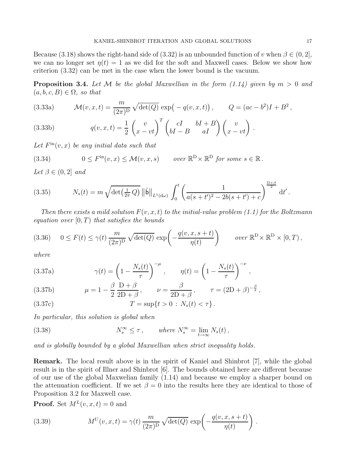Because (3.18) shows the right-hand side of (3.32) is an unbounded function of v when  $\beta \in (0, 2]$ , we can no longer set  $\eta(t) = 1$  as we did for the soft and Maxwell cases. Below we show how criterion (3.32) can be met in the case when the lower bound is the vacuum.

**Proposition 3.4.** Let M be the global Maxwellian in the form  $(1.14)$  given by  $m > 0$  and  $(a, b, c, B) \in \Omega$ , so that

(3.33a) 
$$
\mathcal{M}(v, x, t) = \frac{m}{(2\pi)^D} \sqrt{\det(Q)} \exp(-q(v, x, t)), \qquad Q = (ac - b^2)I + B^2,
$$

(3.33b) 
$$
q(v, x, t) = \frac{1}{2} \begin{pmatrix} v \\ x - vt \end{pmatrix}^T \begin{pmatrix} cI & bI + B \\ bI - B & aI \end{pmatrix} \begin{pmatrix} v \\ x - vt \end{pmatrix}.
$$

Let  $F^{\text{in}}(v, x)$  be any initial data such that

(3.34) 
$$
0 \leq F^{\text{in}}(v, x) \leq \mathcal{M}(v, x, s) \quad \text{over } \mathbb{R}^{\mathcal{D}} \times \mathbb{R}^{\mathcal{D}} \text{ for some } s \in \mathbb{R}.
$$

Let  $\beta \in (0,2]$  and

(3.35) 
$$
N_s(t) = m \sqrt{\det(\frac{1}{2\pi}Q)} \|\hat{\mathbf{b}}\|_{L^1(d\omega)} \int_0^t \left(\frac{1}{a(s+t')^2 - 2b(s+t') + c}\right)^{\frac{D+\beta}{2}} dt'.
$$

Then there exists a mild solution  $F(v, x, t)$  to the initial-value problem (1.1) for the Boltzmann equation over  $[0, T)$  that satisfies the bounds

(3.36) 
$$
0 \le F(t) \le \gamma(t) \frac{m}{(2\pi)^D} \sqrt{\det(Q)} \exp\left(-\frac{q(v, x, s+t)}{\eta(t)}\right) \qquad \text{over } \mathbb{R}^D \times \mathbb{R}^D \times [0, T),
$$

where

(3.37a) 
$$
\gamma(t) = \left(1 - \frac{N_s(t)}{\tau}\right)^{-\mu}, \qquad \eta(t) = \left(1 - \frac{N_s(t)}{\tau}\right)^{-\nu},
$$

(3.37b) 
$$
\mu = 1 - \frac{\beta}{2} \frac{D + \beta}{2D + \beta}, \qquad \nu = \frac{\beta}{2D + \beta}, \qquad \tau = (2D + \beta)^{-\frac{\beta}{2}},
$$

(3.37c) 
$$
T = \sup\{t > 0 : N_s(t) < \tau\}.
$$

In particular, this solution is global when

(3.38) 
$$
N_s^{\infty} \leq \tau, \qquad \text{where } N_s^{\infty} = \lim_{t \to \infty} N_s(t),
$$

and is globally bounded by a global Maxwellian when strict inequality holds.

Remark. The local result above is in the spirit of Kaniel and Shinbrot [7], while the global result is in the spirit of Illner and Shinbrot [6]. The bounds obtained here are different because of our use of the global Maxwelian family (1.14) and because we employ a sharper bound on the attenuation coefficient. If we set  $\beta = 0$  into the results here they are identical to those of Proposition 3.2 for Maxwell case.

**Proof.** Set  $M^{L}(v, x, t) = 0$  and

(3.39) 
$$
M^{U}(v, x, t) = \gamma(t) \frac{m}{(2\pi)^{D}} \sqrt{\det(Q)} \exp\left(-\frac{q(v, x, s+t)}{\eta(t)}\right).
$$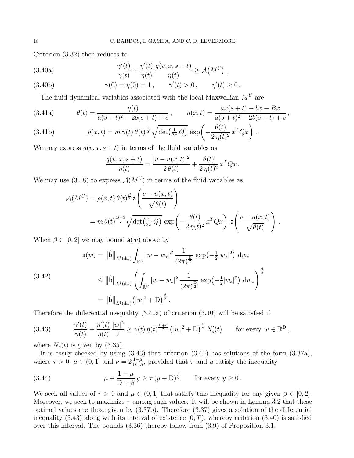Criterion (3.32) then reduces to

(3.40a) 
$$
\frac{\gamma'(t)}{\gamma(t)} + \frac{\eta'(t)}{\eta(t)} \frac{q(v, x, s+t)}{\eta(t)} \geq \mathcal{A}(M^U) ,
$$

(3.40b) 
$$
\gamma(0) = \eta(0) = 1, \quad \gamma'(t) > 0, \quad \eta'(t) \ge 0.
$$

The fluid dynamical variables associated with the local Maxwellian  ${\cal M}^U$  are

(3.41a) 
$$
\theta(t) = \frac{\eta(t)}{a(s+t)^2 - 2b(s+t) + c}, \qquad u(x,t) = \frac{ax(s+t) - bx - Bx}{a(s+t)^2 - 2b(s+t) + c},
$$

(3.41b) 
$$
\rho(x,t) = m \gamma(t) \theta(t)^{\frac{D}{2}} \sqrt{\det(\frac{1}{2\pi}Q)} \exp\left(-\frac{\theta(t)}{2\eta(t)^2} x^T Q x\right).
$$

We may express  $q(v, x, s + t)$  in terms of the fluid variables as

$$
\frac{q(v, x, s+t)}{\eta(t)} = \frac{|v - u(x, t)|^2}{2 \theta(t)} + \frac{\theta(t)}{2 \eta(t)^2} x^T Q x.
$$

We may use (3.18) to express  $\mathcal{A}(M^U)$  in terms of the fluid variables as

$$
\mathcal{A}(M^U) = \rho(x, t) \theta(t)^{\frac{\beta}{2}} \mathbf{a} \left( \frac{v - u(x, t)}{\sqrt{\theta(t)}} \right)
$$
  
=  $m \theta(t)^{\frac{D+\beta}{2}} \sqrt{\det(\frac{1}{2\pi} Q)} \exp\left(-\frac{\theta(t)}{2\eta(t)^2} x^T Q x\right) \mathbf{a} \left(\frac{v - u(x, t)}{\sqrt{\theta(t)}}\right)$ 

.

When  $\beta \in [0, 2]$  we may bound  $a(w)$  above by

$$
\mathsf{a}(w) = \|\hat{\mathsf{b}}\|_{L^{1}(\mathrm{d}\omega)} \int_{\mathbb{R}^{\mathrm{D}}} |w - w_{*}|^{\beta} \frac{1}{(2\pi)^{\frac{\mathrm{D}}{2}}} \exp\left(-\frac{1}{2}|w_{*}|^{2}\right) \mathrm{d}w_{*}
$$
\n
$$
\leq \|\hat{\mathsf{b}}\|_{L^{1}(\mathrm{d}\omega)} \left(\int_{\mathbb{R}^{\mathrm{D}}} |w - w_{*}|^{2} \frac{1}{(2\pi)^{\frac{\mathrm{D}}{2}}} \exp\left(-\frac{1}{2}|w_{*}|^{2}\right) \mathrm{d}w_{*}\right)^{\frac{\beta}{2}}
$$
\n
$$
= \|\hat{\mathsf{b}}\|_{L^{1}(\mathrm{d}\omega)} \left(|w|^{2} + \mathrm{D}\right)^{\frac{\beta}{2}}.
$$

Therefore the differential inequality (3.40a) of criterion (3.40) will be satisfied if

(3.43) 
$$
\frac{\gamma'(t)}{\gamma(t)} + \frac{\eta'(t)}{\eta(t)} \frac{|w|^2}{2} \ge \gamma(t) \eta(t)^{\frac{D+\beta}{2}} \left( |w|^2 + D \right)^{\frac{\beta}{2}} N'_s(t) \quad \text{for every } w \in \mathbb{R}^D,
$$

where  $N_s(t)$  is given by  $(3.35)$ .

It is easily checked by using (3.43) that criterion (3.40) has solutions of the form (3.37a), where  $\tau > 0$ ,  $\mu \in (0, 1]$  and  $\nu = 2\frac{1-\mu}{D+\beta}$ , provided that  $\tau$  and  $\mu$  satisfy the inequality

(3.44) 
$$
\mu + \frac{1-\mu}{D+\beta} y \ge \tau (y+D)^{\frac{\beta}{2}} \quad \text{for every } y \ge 0.
$$

We seek all values of  $\tau > 0$  and  $\mu \in (0, 1]$  that satisfy this inequality for any given  $\beta \in [0, 2]$ . Moreover, we seek to maximize  $\tau$  among such values. It will be shown in Lemma 3.2 that these optimal values are those given by (3.37b). Therefore (3.37) gives a solution of the differential inequality (3.43) along with its interval of existence  $[0, T)$ , whereby criterion (3.40) is satisfied over this interval. The bounds (3.36) thereby follow from (3.9) of Proposition 3.1.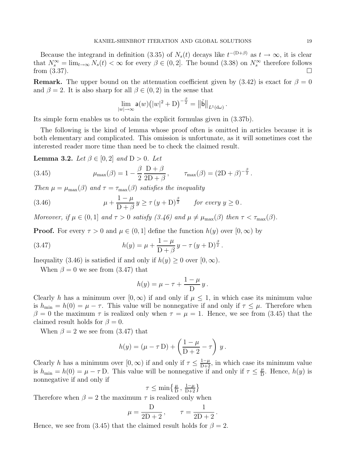Because the integrand in definition (3.35) of  $N_s(t)$  decays like  $t^{-(D+\beta)}$  as  $t \to \infty$ , it is clear that  $N_s^{\infty} = \lim_{t \to \infty} N_s(t) < \infty$  for every  $\beta \in (0, 2]$ . The bound  $(3.38)$  on  $N_s^{\infty}$  therefore follows from  $(3.37)$ .

**Remark.** The upper bound on the attenuation coefficient given by  $(3.42)$  is exact for  $\beta = 0$ and  $\beta = 2$ . It is also sharp for all  $\beta \in (0, 2)$  in the sense that

$$
\lim_{|w|\to\infty} \mathsf{a}(w) \big( |w|^2 + \mathrm{D} \big)^{-\frac{\beta}{2}} = \big\| \hat{\mathsf{b}} \big\|_{L^1(\mathrm{d}\omega)}.
$$

Its simple form enables us to obtain the explicit formulas given in (3.37b).

The following is the kind of lemma whose proof often is omitted in articles because it is both elementary and complicated. This omission is unfortunate, as it will sometimes cost the interested reader more time than need be to check the claimed result.

**Lemma 3.2.** Let  $\beta \in [0, 2]$  and  $D > 0$ . Let

(3.45) 
$$
\mu_{\max}(\beta) = 1 - \frac{\beta}{2} \frac{D + \beta}{2D + \beta}, \qquad \tau_{\max}(\beta) = (2D + \beta)^{-\frac{\beta}{2}}.
$$

Then  $\mu = \mu_{\text{max}}(\beta)$  and  $\tau = \tau_{\text{max}}(\beta)$  satisfies the inequality

(3.46) 
$$
\mu + \frac{1-\mu}{D+\beta} y \ge \tau (y+D)^{\frac{\beta}{2}} \quad \text{for every } y \ge 0.
$$

Moreover, if  $\mu \in (0,1]$  and  $\tau > 0$  satisfy  $(3.46)$  and  $\mu \neq \mu_{\max}(\beta)$  then  $\tau < \tau_{\max}(\beta)$ .

**Proof.** For every  $\tau > 0$  and  $\mu \in (0, 1]$  define the function  $h(y)$  over  $[0, \infty)$  by

(3.47) 
$$
h(y) = \mu + \frac{1 - \mu}{D + \beta} y - \tau (y + D)^{\frac{\beta}{2}}.
$$

Inequality (3.46) is satisfied if and only if  $h(y) \geq 0$  over  $[0, \infty)$ .

When  $\beta = 0$  we see from (3.47) that

$$
h(y) = \mu - \tau + \frac{1 - \mu}{D} y.
$$

Clearly h has a minimum over  $[0, \infty)$  if and only if  $\mu \leq 1$ , in which case its minimum value is  $h_{\min} = h(0) = \mu - \tau$ . This value will be nonnegative if and only if  $\tau \leq \mu$ . Therefore when β = 0 the maximum  $τ$  is realized only when  $τ = μ = 1$ . Hence, we see from (3.45) that the claimed result holds for  $\beta = 0$ .

When  $\beta = 2$  we see from (3.47) that

$$
h(y) = (\mu - \tau \mathbf{D}) + \left(\frac{1-\mu}{\mathbf{D}+2} - \tau\right) y.
$$

Clearly h has a minimum over  $[0, \infty)$  if and only if  $\tau \leq \frac{1-\mu}{D+2}$ , in which case its minimum value is  $h_{\min} = h(0) = \mu - \tau D$ . This value will be nonnegative if and only if  $\tau \leq \frac{\mu}{D}$ . Hence,  $h(y)$  is nonnegative if and only if

$$
\tau \le \min\left\{\tfrac{\mu}{D},\, \tfrac{1-\mu}{D+2}\right\}
$$

Therefore when  $\beta = 2$  the maximum  $\tau$  is realized only when

$$
\mu = \frac{D}{2D + 2}, \qquad \tau = \frac{1}{2D + 2}.
$$

Hence, we see from (3.45) that the claimed result holds for  $\beta = 2$ .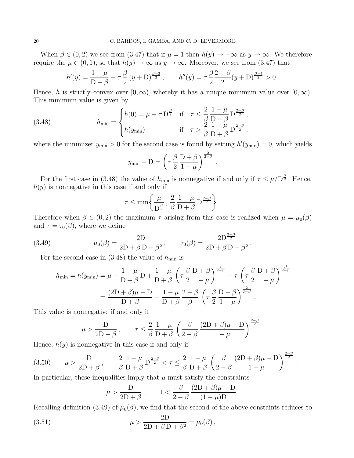When  $\beta \in (0, 2)$  we see from  $(3.47)$  that if  $\mu = 1$  then  $h(y) \to -\infty$  as  $y \to \infty$ . We therefore require the  $\mu \in (0,1)$ , so that  $h(y) \to \infty$  as  $y \to \infty$ . Moreover, we see from (3.47) that

$$
h'(y) = \frac{1-\mu}{D+\beta} - \tau \frac{\beta}{2} (y+D)^{\frac{\beta-2}{2}}, \qquad h''(y) = \tau \frac{\beta}{2} \frac{2-\beta}{2} (y+D)^{\frac{\beta-4}{2}} > 0.
$$

Hence, h is strictly convex over  $[0, \infty)$ , whereby it has a unique minimum value over  $[0, \infty)$ . This minimum value is given by

(3.48) 
$$
h_{\min} = \begin{cases} h(0) = \mu - \tau \mathbf{D}^{\frac{\beta}{2}} & \text{if } \tau \leq \frac{2}{\beta} \frac{1 - \mu}{\mathbf{D} + \beta} \mathbf{D}^{\frac{2 - \beta}{2}},\\ h(y_{\min}) & \text{if } \tau > \frac{2}{\beta} \frac{1 - \mu}{\mathbf{D} + \beta} \mathbf{D}^{\frac{2 - \beta}{2}}, \end{cases}
$$

where the minimizer  $y_{\text{min}} > 0$  for the second case is found by setting  $h'(y_{\text{min}}) = 0$ , which yields

$$
y_{\min} + D = \left(\tau \frac{\beta}{2} \frac{D + \beta}{1 - \mu}\right)^{\frac{2}{2 - \beta}}
$$

.

.

For the first case in (3.48) the value of  $h_{\min}$  is nonnegative if and only if  $\tau \leq \mu/D^{\frac{\beta}{2}}$ . Hence,  $h(y)$  is nonnegative in this case if and only if

$$
\tau \le \min \left\{ \frac{\mu}{D^{\frac{\beta}{2}}}, \frac{2}{\beta} \frac{1-\mu}{D+\beta} D^{\frac{2-\beta}{2}} \right\}.
$$

Therefore when  $\beta \in (0, 2)$  the maximum  $\tau$  arising from this case is realized when  $\mu = \mu_0(\beta)$ and  $\tau = \tau_0(\beta)$ , where we define

(3.49) 
$$
\mu_0(\beta) = \frac{2D}{2D + \beta D + \beta^2}, \qquad \tau_0(\beta) = \frac{2D^{\frac{2-\beta}{2}}}{2D + \beta D + \beta^2}.
$$

For the second case in  $(3.48)$  the value of  $h_{\min}$  is

$$
h_{\min} = h(y_{\min}) = \mu - \frac{1 - \mu}{D + \beta} D + \frac{1 - \mu}{D + \beta} \left( \tau \frac{\beta}{2} \frac{D + \beta}{1 - \mu} \right)^{\frac{2}{2 - \beta}} - \tau \left( \tau \frac{\beta}{2} \frac{D + \beta}{1 - \mu} \right)^{\frac{\beta}{2 - \beta}}
$$

$$
= \frac{(2D + \beta)\mu - D}{D + \beta} - \frac{1 - \mu}{D + \beta} \frac{2 - \beta}{\beta} \left( \tau \frac{\beta}{2} \frac{D + \beta}{1 - \mu} \right)^{\frac{2}{2 - \beta}}.
$$

This value is nonnegative if and only if

$$
\mu > \frac{D}{2D+\beta}, \qquad \tau \leq \frac{2}{\beta} \frac{1-\mu}{D+\beta} \left( \frac{\beta}{2-\beta} \frac{(2D+\beta)\mu - D}{1-\mu} \right)^{\frac{2-\beta}{2}}.
$$

Hence,  $h(y)$  is nonnegative in this case if and only if

(3.50) 
$$
\mu > \frac{D}{2D + \beta}, \qquad \frac{2}{\beta} \frac{1 - \mu}{D + \beta} D^{\frac{2 - \beta}{2}} < \tau \le \frac{2}{\beta} \frac{1 - \mu}{D + \beta} \left( \frac{\beta}{2 - \beta} \frac{(2D + \beta)\mu - D}{1 - \mu} \right)^{\frac{2 - \beta}{2}}
$$

In particular, these inequalities imply that  $\mu$  must satisfy the constraints

$$
\mu > \frac{D}{2D + \beta}, \qquad 1 < \frac{\beta}{2 - \beta} \frac{(2D + \beta)\mu - D}{(1 - \mu)D}.
$$

Recalling definition (3.49) of  $\mu_0(\beta)$ , we find that the second of the above constaints reduces to

(3.51) 
$$
\mu > \frac{2D}{2D + \beta D + \beta^2} = \mu_0(\beta),
$$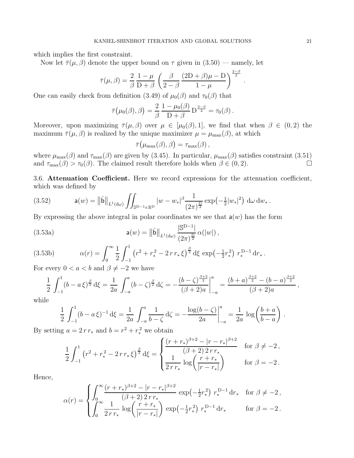which implies the first constraint.

Now let  $\bar{\tau}(\mu,\beta)$  denote the upper bound on  $\tau$  given in  $(3.50)$  — namely, let

$$
\bar{\tau}(\mu,\beta) = \frac{2}{\beta} \frac{1-\mu}{D+\beta} \left(\frac{\beta}{2-\beta} \frac{(2D+\beta)\mu - D}{1-\mu}\right)^{\frac{2-\beta}{2}}
$$

One can easily check from definition (3.49) of  $\mu_0(\beta)$  and  $\tau_0(\beta)$  that

$$
\overline{\tau}\big(\mu_0(\beta),\beta\big) = \frac{2}{\beta} \frac{1-\mu_0(\beta)}{D+\beta} D^{\frac{2-\beta}{2}} = \tau_0(\beta).
$$

Moreover, upon maximizing  $\bar{\tau}(\mu,\beta)$  over  $\mu \in [\mu_0(\beta),1]$ , we find that when  $\beta \in (0,2)$  the maximum  $\bar{\tau}(\mu,\beta)$  is realized by the unique maximizer  $\mu = \mu_{\max}(\beta)$ , at which

$$
\bar{\tau}(\mu_{\max}(\beta), \beta) = \tau_{\max}(\beta) ,
$$

where  $\mu_{\max}(\beta)$  and  $\tau_{\max}(\beta)$  are given by (3.45). In particular,  $\mu_{\max}(\beta)$  satisfies constraint (3.51) and  $\tau_{\text{max}}(\beta) > \tau_0(\beta)$ . The claimed result therefore holds when  $\beta \in (0, 2)$ .

3.6. Attenuation Coefficient. Here we record expressions for the attenuation coefficient, which was defined by

$$
(3.52) \t a(w) = ||\hat{\mathbf{b}}||_{L^{1}(\mathrm{d}\omega)} \iint_{\mathbb{S}^{D-1}\times\mathbb{R}^{D}} |w-w_{*}|^{\beta} \frac{1}{(2\pi)^{\frac{D}{2}}} \exp\left(-\frac{1}{2}|w_{*}|^{2}\right) \, \mathrm{d}\omega \, \mathrm{d}w_{*} \, .
$$

By expressing the above integral in polar coordinates we see that  $a(w)$  has the form

(3.53a) 
$$
\mathsf{a}(w) = ||\hat{\mathsf{b}}||_{L^{1}(\mathrm{d}\omega)} \frac{|\mathbb{S}^{D-1}|}{(2\pi)^{\frac{D}{2}}} \alpha(|w|),
$$

(3.53b) 
$$
\alpha(r) = \int_0^\infty \frac{1}{2} \int_{-1}^1 (r^2 + r_*^2 - 2\,r\,r_*\,\xi)^{\frac{\beta}{2}} d\xi \, \exp\left(-\frac{1}{2}r_*^2\right) \, r_*^{\mathcal{D}-1} \, \mathrm{d}r_* \,.
$$

For every  $0 < a < b$  and  $\beta \neq -2$  we have

$$
\frac{1}{2} \int_{-1}^{1} (b - a \xi)^{\frac{\beta}{2}} d\xi = \frac{1}{2a} \int_{-a}^{a} (b - \zeta)^{\frac{\beta}{2}} d\zeta = -\frac{(b - \zeta)^{\frac{\beta+2}{2}}}{(\beta+2)a} \bigg|_{-a}^{a} = \frac{(b + a)^{\frac{\beta+2}{2}} - (b - a)^{\frac{\beta+2}{2}}}{(\beta+2)a},
$$

while

$$
\frac{1}{2} \int_{-1}^{1} (b - a \xi)^{-1} d\xi = \frac{1}{2a} \int_{-a}^{a} \frac{1}{b - \zeta} d\zeta = -\frac{\log(b - \zeta)}{2a} \Big|_{-a}^{a} = \frac{1}{2a} \log \left( \frac{b + a}{b - a} \right).
$$

By setting  $a = 2 r r_*$  and  $b = r^2 + r_*^2$  we obtain

$$
\frac{1}{2} \int_{-1}^{1} (r^2 + r_*^2 - 2\,r\,r_*\,\xi)^{\frac{\beta}{2}} d\xi = \begin{cases} \frac{(r+r_*)^{\beta+2} - |r-r_*|^{\beta+2}}{(\beta+2)\,2\,r\,r_*} & \text{for } \beta \neq -2 \,,\\ \frac{1}{2\,r\,r_*} \log\left(\frac{r+r_*}{|r-r_*|}\right) & \text{for } \beta = -2 \,. \end{cases}
$$

Hence,

$$
\alpha(r) = \begin{cases} \int_0^\infty \frac{(r+r_*)^{\beta+2} - |r-r_*|^{\beta+2}}{(\beta+2) 2 r r_*} \exp\left(-\frac{1}{2}r_*^2\right) r_*^{\mathcal{D}-1} \, \mathrm{d}r_* & \text{for } \beta \neq -2, \\ \int_0^\infty \frac{1}{2 r r_*} \log\left(\frac{r+r_*}{|r-r_*|}\right) \exp\left(-\frac{1}{2}r_*^2\right) r_*^{\mathcal{D}-1} \, \mathrm{d}r_* & \text{for } \beta = -2 \, . \end{cases}
$$

.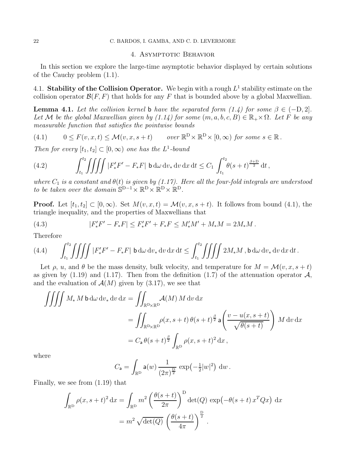### 4. ASYMPTOTIC BEHAVIOR

In this section we explore the large-time asymptotic behavior displayed by certain solutions of the Cauchy problem (1.1).

4.1. Stability of the Collision Operator. We begin with a rough  $L^1$  stability estimate on the collision operator  $\mathcal{B}(F, F)$  that holds for any F that is bounded above by a global Maxwellian.

**Lemma 4.1.** Let the collision kernel **b** have the separated form (1.4) for some  $\beta \in (-D, 2]$ . Let M be the global Maxwellian given by  $(1.14)$  for some  $(m, a, b, c, B) \in \mathbb{R}_+ \times \Omega$ . Let F be any measurable function that satisfies the pointwise bounds

(4.1) 
$$
0 \leq F(v, x, t) \leq \mathcal{M}(v, x, s+t) \quad \text{over } \mathbb{R}^D \times \mathbb{R}^D \times [0, \infty) \text{ for some } s \in \mathbb{R}.
$$

Then for every  $[t_1, t_2] \subset [0, \infty)$  one has the L<sup>1</sup>-bound

(4.2) 
$$
\int_{t_1}^{t_2} \iiint \left| F'_* F' - F_* F \right| \, \mathsf{b} \, \mathrm{d} \omega \, \mathrm{d} v_* \, \mathrm{d} v \, \mathrm{d} x \, \mathrm{d} t \leq C_1 \int_{t_1}^{t_2} \theta(s+t)^{\frac{\beta+D}{2}} \, \mathrm{d} t \, ,
$$

where  $C_1$  is a constant and  $\theta(t)$  is given by (1.17). Here all the four-fold integrals are understood to be taken over the domain  $S^{D-1} \times \mathbb{R}^D \times \mathbb{R}^D \times \mathbb{R}^D$ .

**Proof.** Let  $[t_1, t_2] \subset [0, \infty)$ . Set  $M(v, x, t) = M(v, x, s + t)$ . It follows from bound (4.1), the triangle inequality, and the properties of Maxwellians that

(4.3) 
$$
|F'_{*}F' - F_{*}F| \leq F'_{*}F' + F_{*}F \leq M'_{*}M' + M_{*}M = 2M_{*}M.
$$

Therefore

(4.4) 
$$
\int_{t_1}^{t_2} \iiint \int |F'_*F' - F_*F| \mathbf{b} \, d\omega \, dv_* \, dv \, dx \, dt \le \int_{t_1}^{t_2} \iiint 2M_*M \, , \mathbf{b} \, d\omega \, dv_* \, dv \, dx \, dt \, .
$$

Let  $\rho$ , u, and  $\theta$  be the mass density, bulk velocity, and temperature for  $M = \mathcal{M}(v, x, s + t)$ as given by (1.19) and (1.17). Then from the definition (1.7) of the attenuation operator  $\mathcal{A}$ , and the evaluation of  $\mathcal{A}(M)$  given by (3.17), we see that

$$
\iiint M_* M \mathbf{b} \, d\omega \, dv_* dv \, dx = \iint_{\mathbb{R}^{\mathcal{D}} \times \mathbb{R}^{\mathcal{D}}} \mathcal{A}(M) \, M \, dv \, dx
$$
  
= 
$$
\iint_{\mathbb{R}^{\mathcal{D}} \times \mathbb{R}^{\mathcal{D}}} \rho(x, s+t) \, \theta(s+t)^{\frac{\beta}{2}} \mathbf{a} \left( \frac{v - u(x, s+t)}{\sqrt{\theta(s+t)}} \right) \, M \, dv \, dx
$$
  
= 
$$
C_{\mathbf{a}} \, \theta(s+t)^{\frac{\beta}{2}} \int_{\mathbb{R}^{\mathcal{D}}} \rho(x, s+t)^2 \, dx \, ,
$$

where

$$
C_{\mathsf{a}} = \int_{\mathbb{R}^{\mathbb{D}}} \mathsf{a}(w) \, \frac{1}{(2\pi)^{\frac{\mathbb{D}}{2}}} \, \exp\left(-\frac{1}{2}|w|^{2}\right) \, \mathrm{d}w \, .
$$

Finally, we see from (1.19) that

$$
\int_{\mathbb{R}^D} \rho(x, s+t)^2 dx = \int_{\mathbb{R}^D} m^2 \left( \frac{\theta(s+t)}{2\pi} \right)^D \det(Q) \exp(-\theta(s+t) x^T Q x) dx
$$

$$
= m^2 \sqrt{\det(Q)} \left( \frac{\theta(s+t)}{4\pi} \right)^{\frac{D}{2}}.
$$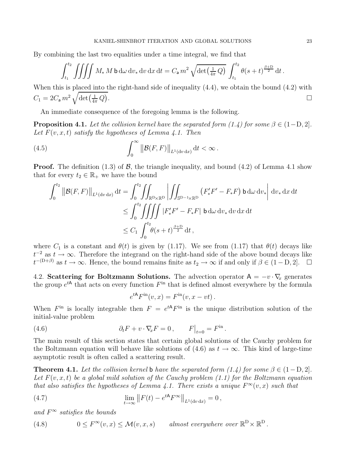By combining the last two equalities under a time integral, we find that

$$
\int_{t_1}^{t_2} \iiint M_* M \mathbf{b} \, \mathrm{d}\omega \, \mathrm{d}v_* \, \mathrm{d}v \, \mathrm{d}x \, \mathrm{d}t = C_{\mathbf{a}} m^2 \sqrt{\det\left(\frac{1}{4\pi} Q\right)} \int_{t_1}^{t_2} \theta(s+t)^{\frac{\beta+D}{2}} \, \mathrm{d}t \, .
$$

When this is placed into the right-hand side of inequality (4.4), we obtain the bound (4.2) with  $C_1=2C_\mathsf{a}\,m^2\,\sqrt{\det\bigl(\tfrac{1}{4\pi}\,Q\bigr)}$ . The contract of the contract of the contract of the contract of  $\Box$ 

An immediate consequence of the foregoing lemma is the following.

**Proposition 4.1.** Let the collision kernel have the separated form (1.4) for some  $\beta \in (1-D, 2]$ . Let  $F(v, x, t)$  satisfy the hypotheses of Lemma 4.1. Then

(4.5) 
$$
\int_0^\infty \left\| \mathcal{B}(F,F) \right\|_{L^1(\mathrm{d} v \,\mathrm{d} x)} \mathrm{d} t < \infty.
$$

**Proof.** The definition  $(1.3)$  of  $\mathcal{B}$ , the triangle inequality, and bound  $(4.2)$  of Lemma 4.1 show that for every  $t_2 \in \mathbb{R}_+$  we have the bound

$$
\int_{0}^{t_2} ||\mathcal{B}(F,F)||_{L^{1}(\mathrm{d}v\,\mathrm{d}x)} \,\mathrm{d}t = \int_{0}^{t_2} \iint_{\mathbb{R}^{\mathrm{D}}\times\mathbb{R}^{\mathrm{D}}} \left| \iint_{\mathbb{S}^{\mathrm{D}-1}\times\mathbb{R}^{\mathrm{D}}} \left( F'_{*}F' - F_{*}F \right) \mathsf{b} \,\mathrm{d}\omega \,\mathrm{d}v_{*} \right| \,\mathrm{d}v_{*} \,\mathrm{d}x \,\mathrm{d}t
$$
  
\n
$$
\leq \int_{0}^{t_2} \iiint_{0} |F'_{*}F' - F_{*}F| \mathsf{b} \,\mathrm{d}\omega \,\mathrm{d}v_{*} \,\mathrm{d}v \,\mathrm{d}x \,\mathrm{d}t
$$
  
\n
$$
\leq C_{1} \int_{0}^{t_2} \theta(s+t)^{\frac{\beta+\mathrm{D}}{2}} \,\mathrm{d}t ,
$$

where  $C_1$  is a constant and  $\theta(t)$  is given by (1.17). We see from (1.17) that  $\theta(t)$  decays like  $t^{-2}$  as  $t \to \infty$ . Therefore the integrand on the right-hand side of the above bound decays like  $t^{-(D+\beta)}$  as  $t \to \infty$ . Hence, the bound remains finite as  $t_2 \to \infty$  if and only if  $\beta \in (1-D, 2]$ .  $\Box$ 

4.2. Scattering for Boltzmann Solutions. The advection operator  $A = -v \cdot \nabla_x$  generates the group  $e^{tA}$  that acts on every function  $F<sup>in</sup>$  that is defined almost everywhere by the formula

$$
e^{tA}F^{\text{in}}(v,x) = F^{\text{in}}(v,x - vt).
$$

When  $F^{\text{in}}$  is locally integrable then  $F = e^{tA}F^{\text{in}}$  is the unique distribution solution of the initial-value problem

(4.6) 
$$
\partial_t F + v \cdot \nabla_x F = 0, \qquad F\big|_{t=0} = F^{\text{in}}.
$$

The main result of this section states that certain global solutions of the Cauchy problem for the Boltzmann equation will behave like solutions of (4.6) as  $t \to \infty$ . This kind of large-time asymptotic result is often called a scattering result.

**Theorem 4.1.** Let the collision kernel b have the separated form (1.4) for some  $\beta \in (1 - D, 2]$ . Let  $F(v, x, t)$  be a global mild solution of the Cauchy problem (1.1) for the Boltzmann equation that also satisfies the hypotheses of Lemma 4.1. There exists a unique  $F^{\infty}(v, x)$  such that

(4.7) 
$$
\lim_{t \to \infty} ||F(t) - e^{tA} F^{\infty}||_{L^1(\text{d}v \, \text{d}x)} = 0,
$$

and  $F^{\infty}$  satisfies the bounds

(4.8) 
$$
0 \leq F^{\infty}(v, x) \leq \mathcal{M}(v, x, s) \quad \text{almost everywhere over } \mathbb{R}^{\mathcal{D}} \times \mathbb{R}^{\mathcal{D}}.
$$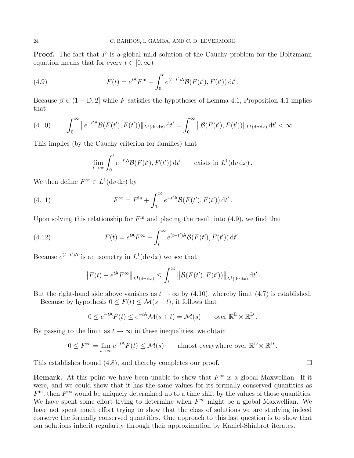**Proof.** The fact that  $F$  is a global mild solution of the Cauchy problem for the Boltzmann equation means that for every  $t \in [0, \infty)$ 

(4.9) 
$$
F(t) = e^{tA} F^{\text{in}} + \int_0^t e^{(t-t')A} \mathcal{B}(F(t'), F(t')) dt'.
$$

Because  $\beta \in (1 - D, 2]$  while F satisfies the hypotheses of Lemma 4.1, Proposition 4.1 implies that

$$
(4.10) \qquad \int_0^\infty \|e^{-t^{\prime} A} \mathcal{B}(F(t^{\prime}), F(t^{\prime}))\|_{L^1(\mathrm{d}v\,\mathrm{d}x)} \,\mathrm{d}t^{\prime} = \int_0^\infty \|\mathcal{B}(F(t^{\prime}), F(t^{\prime}))\|_{L^1(\mathrm{d}v\,\mathrm{d}x)} \,\mathrm{d}t^{\prime} < \infty \, .
$$

This implies (by the Cauchy criterion for families) that

$$
\lim_{t \to \infty} \int_0^t e^{-t' A} \mathcal{B}(F(t'), F(t')) dt' \quad \text{exists in } L^1(\mathrm{d} v \, \mathrm{d} x).
$$

We then define  $F^{\infty} \in L^{1}(dv dx)$  by

(4.11) 
$$
F^{\infty} = F^{\text{in}} + \int_0^{\infty} e^{-t^{\prime} A} \mathcal{B}(F(t^{\prime}), F(t^{\prime})) dt^{\prime}.
$$

Upon solving this relationship for  $F<sup>in</sup>$  and placing the result into (4.9), we find that

(4.12) 
$$
F(t) = e^{tA} F^{\infty} - \int_{t}^{\infty} e^{(t-t')A} \mathcal{B}(F(t'), F(t')) dt'.
$$

Because  $e^{(t-t')A}$  is an isometry in  $L^1(\mathrm{d} v \, \mathrm{d} x)$  we see that

$$
\left\|F(t) - e^{tA} F^{\infty} \right\|_{L^1(\mathrm{d}v \, \mathrm{d}x)} \leq \int_t^{\infty} \left\| \mathcal{B}(F(t'), F(t')) \right\|_{L^1(\mathrm{d}v \, \mathrm{d}x)} \mathrm{d}t'.
$$

But the right-hand side above vanishes as  $t \to \infty$  by (4.10), whereby limit (4.7) is established.

Because by hypothesis  $0 \leq F(t) \leq \mathcal{M}(s+t)$ , it follows that

$$
0 \le e^{-tA} F(t) \le e^{-tA} \mathcal{M}(s+t) = \mathcal{M}(s) \quad \text{over } \mathbb{R}^D \times \mathbb{R}^D.
$$

By passing to the limit as  $t \to \infty$  in these inequalities, we obtain

$$
0 \leq F^{\infty} = \lim_{t \to \infty} e^{-tA} F(t) \leq \mathcal{M}(s) \quad \text{almost everywhere over } \mathbb{R}^{\mathcal{D}} \times \mathbb{R}^{\mathcal{D}}.
$$

This establishes bound  $(4.8)$ , and thereby completes our proof.  $\Box$ 

**Remark.** At this point we have been unable to show that  $F^{\infty}$  is a global Maxwellian. If it were, and we could show that it has the same values for its formally conserved quantities as  $F<sup>in</sup>$ , then  $F<sup>\infty</sup>$  would be uniquely determined up to a time shift by the values of those quantities. We have spent some effort trying to determine when  $F^{\infty}$  might be a global Maxwellian. We have not spent much effort trying to show that the class of solutions we are studying indeed conserve the formally conserved quantities. One approach to this last question is to show that our solutions inherit regularity through their approximation by Kaniel-Shinbrot iterates.